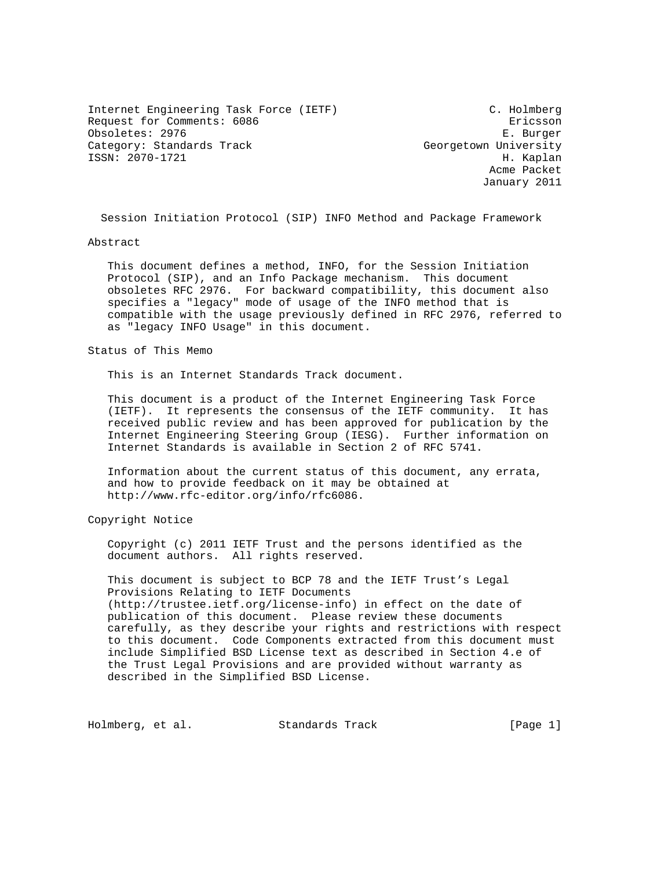Internet Engineering Task Force (IETF) C. Holmberg Request for Comments: 6086 erics and the extra series of the Ericsson Obsoletes: 2976 E. Burger Category: Standards Track Georgetown University ISSN: 2070-1721 H. Kaplan

 Acme Packet January 2011

Session Initiation Protocol (SIP) INFO Method and Package Framework

#### Abstract

 This document defines a method, INFO, for the Session Initiation Protocol (SIP), and an Info Package mechanism. This document obsoletes RFC 2976. For backward compatibility, this document also specifies a "legacy" mode of usage of the INFO method that is compatible with the usage previously defined in RFC 2976, referred to as "legacy INFO Usage" in this document.

Status of This Memo

This is an Internet Standards Track document.

 This document is a product of the Internet Engineering Task Force (IETF). It represents the consensus of the IETF community. It has received public review and has been approved for publication by the Internet Engineering Steering Group (IESG). Further information on Internet Standards is available in Section 2 of RFC 5741.

 Information about the current status of this document, any errata, and how to provide feedback on it may be obtained at http://www.rfc-editor.org/info/rfc6086.

Copyright Notice

 Copyright (c) 2011 IETF Trust and the persons identified as the document authors. All rights reserved.

 This document is subject to BCP 78 and the IETF Trust's Legal Provisions Relating to IETF Documents (http://trustee.ietf.org/license-info) in effect on the date of publication of this document. Please review these documents carefully, as they describe your rights and restrictions with respect to this document. Code Components extracted from this document must include Simplified BSD License text as described in Section 4.e of the Trust Legal Provisions and are provided without warranty as described in the Simplified BSD License.

Holmberg, et al. Standards Track [Page 1]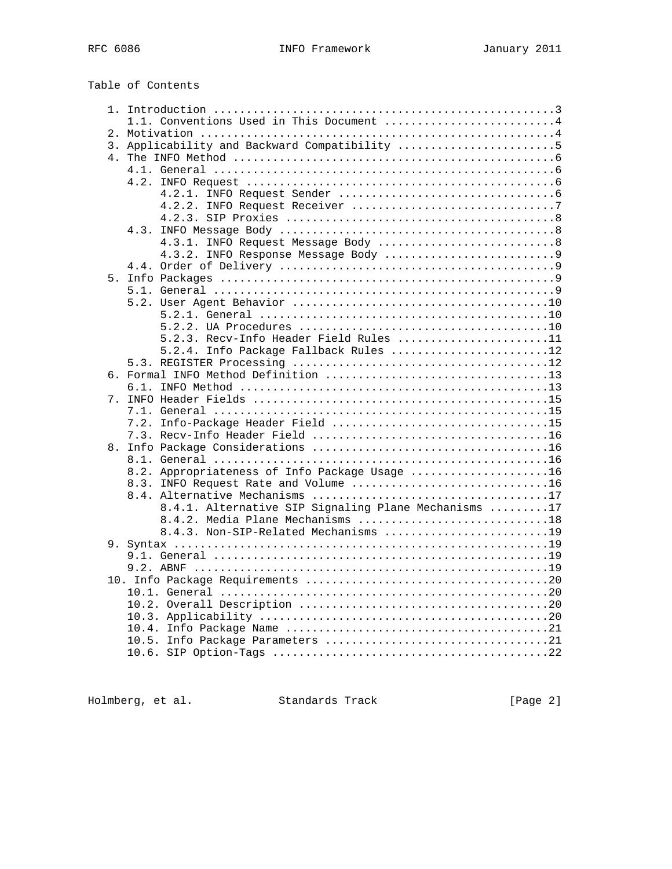Table of Contents

|    | 1.1. Conventions Used in This Document 4             |  |
|----|------------------------------------------------------|--|
|    |                                                      |  |
|    | 3. Applicability and Backward Compatibility 5        |  |
|    |                                                      |  |
|    |                                                      |  |
|    |                                                      |  |
|    |                                                      |  |
|    |                                                      |  |
|    |                                                      |  |
|    |                                                      |  |
|    | 4.3.1. INFO Request Message Body  8                  |  |
|    |                                                      |  |
|    |                                                      |  |
|    |                                                      |  |
|    |                                                      |  |
|    |                                                      |  |
|    |                                                      |  |
|    |                                                      |  |
|    | 5.2.3. Recv-Info Header Field Rules 11               |  |
|    | 5.2.4. Info Package Fallback Rules 12                |  |
|    |                                                      |  |
|    |                                                      |  |
|    |                                                      |  |
| 7. |                                                      |  |
|    |                                                      |  |
|    |                                                      |  |
|    |                                                      |  |
|    |                                                      |  |
|    |                                                      |  |
|    | 8.2. Appropriateness of Info Package Usage 16        |  |
|    | 8.3. INFO Request Rate and Volume 16                 |  |
|    |                                                      |  |
|    | 8.4.1. Alternative SIP Signaling Plane Mechanisms 17 |  |
|    | 8.4.2. Media Plane Mechanisms 18                     |  |
|    | 8.4.3. Non-SIP-Related Mechanisms 19                 |  |
|    |                                                      |  |
|    |                                                      |  |
|    |                                                      |  |
|    |                                                      |  |
|    |                                                      |  |
|    |                                                      |  |
|    |                                                      |  |
|    |                                                      |  |
|    |                                                      |  |
|    |                                                      |  |

Holmberg, et al. Standards Track [Page 2]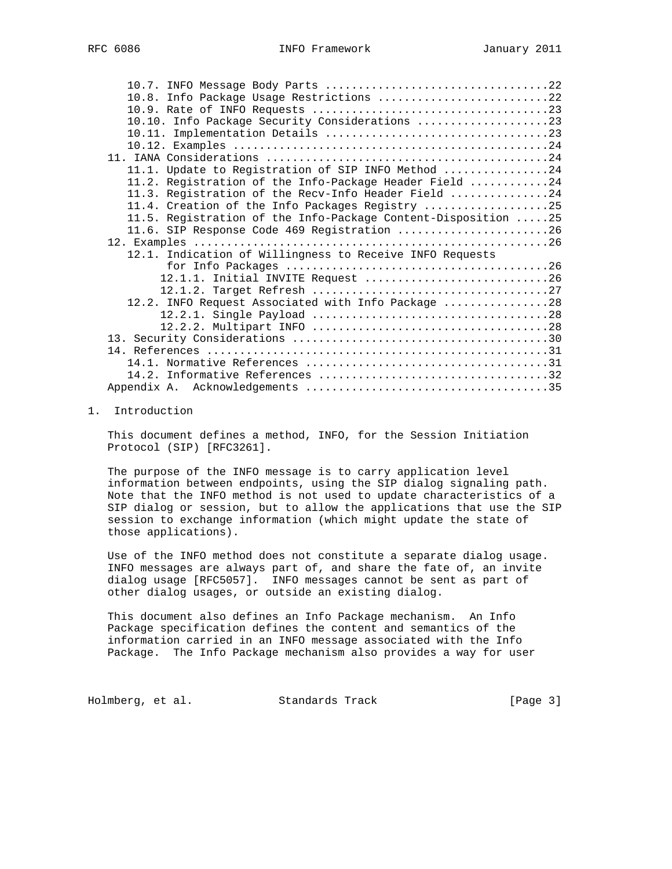| 10.8. Info Package Usage Restrictions 22                      |
|---------------------------------------------------------------|
|                                                               |
| 10.10. Info Package Security Considerations 23                |
|                                                               |
|                                                               |
|                                                               |
| 11.1. Update to Registration of SIP INFO Method 24            |
| 11.2. Registration of the Info-Package Header Field 24        |
| 11.3. Registration of the Recv-Info Header Field 24           |
| 11.4. Creation of the Info Packages Registry 25               |
| 11.5. Registration of the Info-Package Content-Disposition 25 |
| 11.6. SIP Response Code 469 Registration 26                   |
|                                                               |
| 12.1. Indication of Willingness to Receive INFO Requests      |
|                                                               |
| 12.1.1. Initial INVITE Request 26                             |
|                                                               |
| 12.2. INFO Request Associated with Info Package 28            |
|                                                               |
|                                                               |
|                                                               |
|                                                               |
|                                                               |
|                                                               |
|                                                               |

#### 1. Introduction

 This document defines a method, INFO, for the Session Initiation Protocol (SIP) [RFC3261].

 The purpose of the INFO message is to carry application level information between endpoints, using the SIP dialog signaling path. Note that the INFO method is not used to update characteristics of a SIP dialog or session, but to allow the applications that use the SIP session to exchange information (which might update the state of those applications).

 Use of the INFO method does not constitute a separate dialog usage. INFO messages are always part of, and share the fate of, an invite dialog usage [RFC5057]. INFO messages cannot be sent as part of other dialog usages, or outside an existing dialog.

 This document also defines an Info Package mechanism. An Info Package specification defines the content and semantics of the information carried in an INFO message associated with the Info Package. The Info Package mechanism also provides a way for user

Holmberg, et al. Standards Track [Page 3]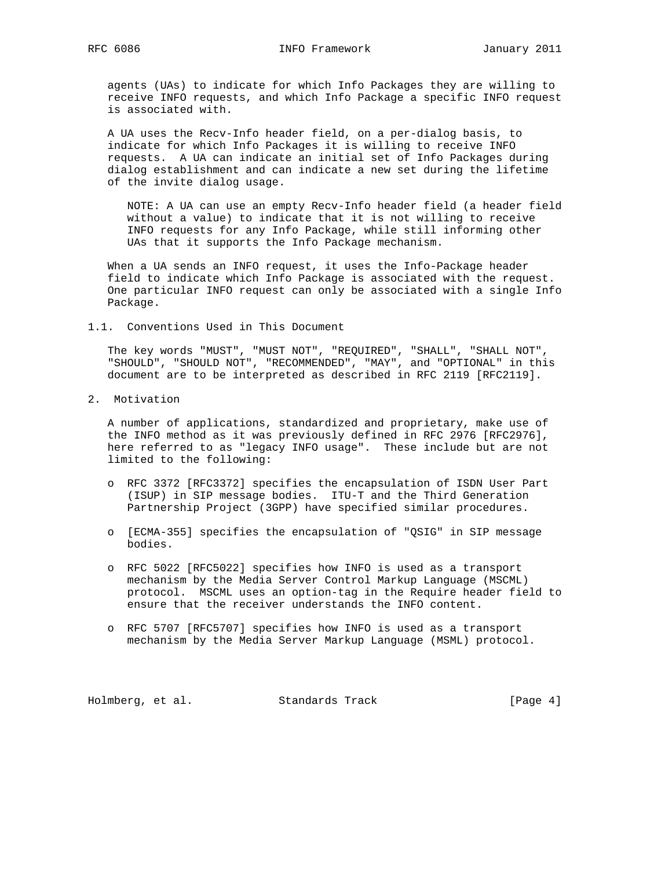agents (UAs) to indicate for which Info Packages they are willing to receive INFO requests, and which Info Package a specific INFO request is associated with.

 A UA uses the Recv-Info header field, on a per-dialog basis, to indicate for which Info Packages it is willing to receive INFO requests. A UA can indicate an initial set of Info Packages during dialog establishment and can indicate a new set during the lifetime of the invite dialog usage.

 NOTE: A UA can use an empty Recv-Info header field (a header field without a value) to indicate that it is not willing to receive INFO requests for any Info Package, while still informing other UAs that it supports the Info Package mechanism.

 When a UA sends an INFO request, it uses the Info-Package header field to indicate which Info Package is associated with the request. One particular INFO request can only be associated with a single Info Package.

1.1. Conventions Used in This Document

 The key words "MUST", "MUST NOT", "REQUIRED", "SHALL", "SHALL NOT", "SHOULD", "SHOULD NOT", "RECOMMENDED", "MAY", and "OPTIONAL" in this document are to be interpreted as described in RFC 2119 [RFC2119].

2. Motivation

 A number of applications, standardized and proprietary, make use of the INFO method as it was previously defined in RFC 2976 [RFC2976], here referred to as "legacy INFO usage". These include but are not limited to the following:

- o RFC 3372 [RFC3372] specifies the encapsulation of ISDN User Part (ISUP) in SIP message bodies. ITU-T and the Third Generation Partnership Project (3GPP) have specified similar procedures.
- o [ECMA-355] specifies the encapsulation of "QSIG" in SIP message bodies.
- o RFC 5022 [RFC5022] specifies how INFO is used as a transport mechanism by the Media Server Control Markup Language (MSCML) protocol. MSCML uses an option-tag in the Require header field to ensure that the receiver understands the INFO content.
- o RFC 5707 [RFC5707] specifies how INFO is used as a transport mechanism by the Media Server Markup Language (MSML) protocol.

Holmberg, et al. Standards Track [Page 4]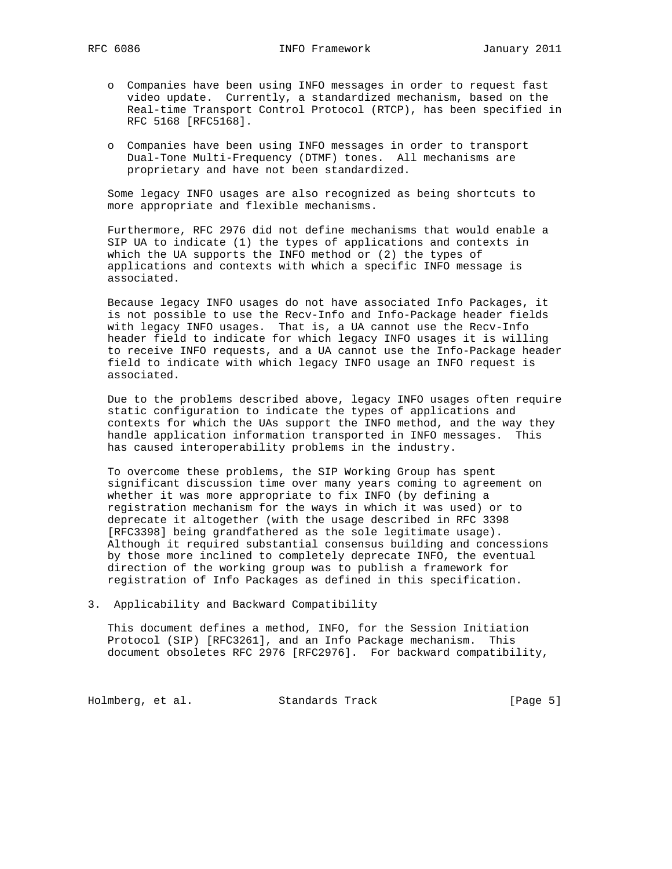- o Companies have been using INFO messages in order to request fast video update. Currently, a standardized mechanism, based on the Real-time Transport Control Protocol (RTCP), has been specified in RFC 5168 [RFC5168].
- o Companies have been using INFO messages in order to transport Dual-Tone Multi-Frequency (DTMF) tones. All mechanisms are proprietary and have not been standardized.

 Some legacy INFO usages are also recognized as being shortcuts to more appropriate and flexible mechanisms.

 Furthermore, RFC 2976 did not define mechanisms that would enable a SIP UA to indicate (1) the types of applications and contexts in which the UA supports the INFO method or (2) the types of applications and contexts with which a specific INFO message is associated.

 Because legacy INFO usages do not have associated Info Packages, it is not possible to use the Recv-Info and Info-Package header fields with legacy INFO usages. That is, a UA cannot use the Recv-Info header field to indicate for which legacy INFO usages it is willing to receive INFO requests, and a UA cannot use the Info-Package header field to indicate with which legacy INFO usage an INFO request is associated.

 Due to the problems described above, legacy INFO usages often require static configuration to indicate the types of applications and contexts for which the UAs support the INFO method, and the way they handle application information transported in INFO messages. This has caused interoperability problems in the industry.

 To overcome these problems, the SIP Working Group has spent significant discussion time over many years coming to agreement on whether it was more appropriate to fix INFO (by defining a registration mechanism for the ways in which it was used) or to deprecate it altogether (with the usage described in RFC 3398 [RFC3398] being grandfathered as the sole legitimate usage). Although it required substantial consensus building and concessions by those more inclined to completely deprecate INFO, the eventual direction of the working group was to publish a framework for registration of Info Packages as defined in this specification.

3. Applicability and Backward Compatibility

 This document defines a method, INFO, for the Session Initiation Protocol (SIP) [RFC3261], and an Info Package mechanism. This document obsoletes RFC 2976 [RFC2976]. For backward compatibility,

Holmberg, et al. Standards Track [Page 5]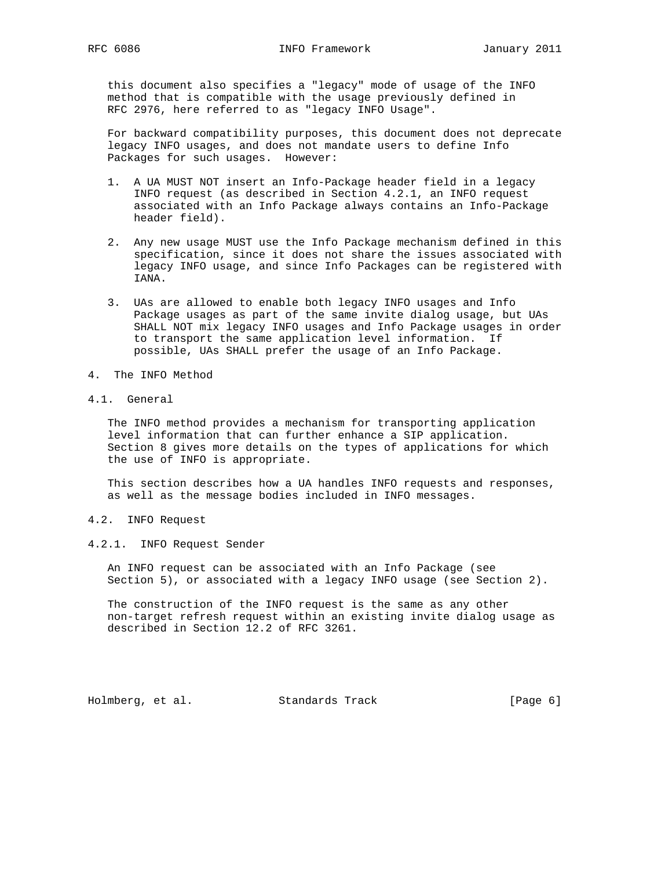this document also specifies a "legacy" mode of usage of the INFO method that is compatible with the usage previously defined in RFC 2976, here referred to as "legacy INFO Usage".

 For backward compatibility purposes, this document does not deprecate legacy INFO usages, and does not mandate users to define Info Packages for such usages. However:

- 1. A UA MUST NOT insert an Info-Package header field in a legacy INFO request (as described in Section 4.2.1, an INFO request associated with an Info Package always contains an Info-Package header field).
- 2. Any new usage MUST use the Info Package mechanism defined in this specification, since it does not share the issues associated with legacy INFO usage, and since Info Packages can be registered with IANA.
- 3. UAs are allowed to enable both legacy INFO usages and Info Package usages as part of the same invite dialog usage, but UAs SHALL NOT mix legacy INFO usages and Info Package usages in order to transport the same application level information. If possible, UAs SHALL prefer the usage of an Info Package.
- 4. The INFO Method
- 4.1. General

 The INFO method provides a mechanism for transporting application level information that can further enhance a SIP application. Section 8 gives more details on the types of applications for which the use of INFO is appropriate.

 This section describes how a UA handles INFO requests and responses, as well as the message bodies included in INFO messages.

# 4.2. INFO Request

#### 4.2.1. INFO Request Sender

 An INFO request can be associated with an Info Package (see Section 5), or associated with a legacy INFO usage (see Section 2).

 The construction of the INFO request is the same as any other non-target refresh request within an existing invite dialog usage as described in Section 12.2 of RFC 3261.

Holmberg, et al. Standards Track [Page 6]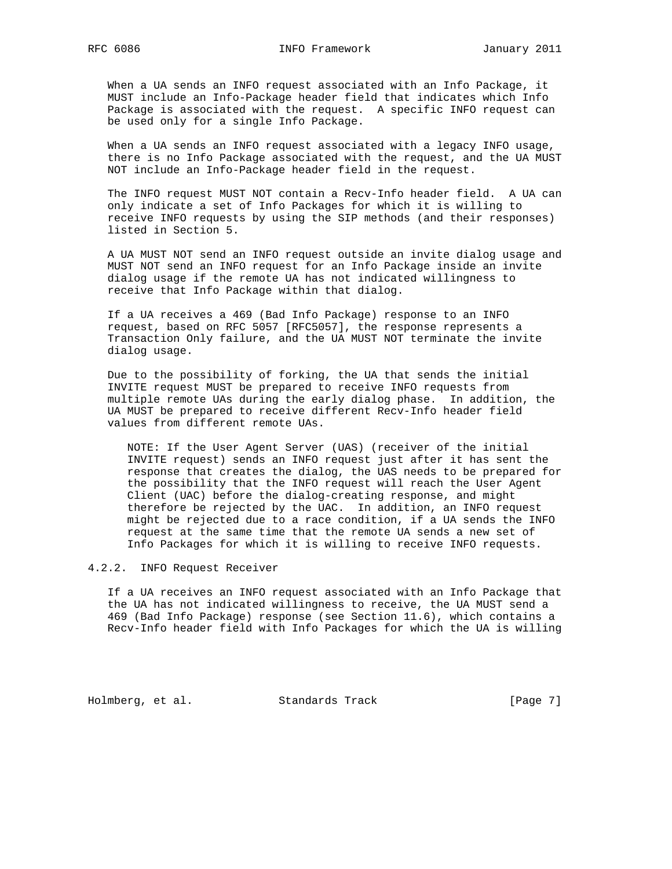When a UA sends an INFO request associated with an Info Package, it MUST include an Info-Package header field that indicates which Info Package is associated with the request. A specific INFO request can be used only for a single Info Package.

 When a UA sends an INFO request associated with a legacy INFO usage, there is no Info Package associated with the request, and the UA MUST NOT include an Info-Package header field in the request.

 The INFO request MUST NOT contain a Recv-Info header field. A UA can only indicate a set of Info Packages for which it is willing to receive INFO requests by using the SIP methods (and their responses) listed in Section 5.

 A UA MUST NOT send an INFO request outside an invite dialog usage and MUST NOT send an INFO request for an Info Package inside an invite dialog usage if the remote UA has not indicated willingness to receive that Info Package within that dialog.

 If a UA receives a 469 (Bad Info Package) response to an INFO request, based on RFC 5057 [RFC5057], the response represents a Transaction Only failure, and the UA MUST NOT terminate the invite dialog usage.

 Due to the possibility of forking, the UA that sends the initial INVITE request MUST be prepared to receive INFO requests from multiple remote UAs during the early dialog phase. In addition, the UA MUST be prepared to receive different Recv-Info header field values from different remote UAs.

 NOTE: If the User Agent Server (UAS) (receiver of the initial INVITE request) sends an INFO request just after it has sent the response that creates the dialog, the UAS needs to be prepared for the possibility that the INFO request will reach the User Agent Client (UAC) before the dialog-creating response, and might therefore be rejected by the UAC. In addition, an INFO request might be rejected due to a race condition, if a UA sends the INFO request at the same time that the remote UA sends a new set of Info Packages for which it is willing to receive INFO requests.

4.2.2. INFO Request Receiver

 If a UA receives an INFO request associated with an Info Package that the UA has not indicated willingness to receive, the UA MUST send a 469 (Bad Info Package) response (see Section 11.6), which contains a Recv-Info header field with Info Packages for which the UA is willing

Holmberg, et al. Standards Track [Page 7]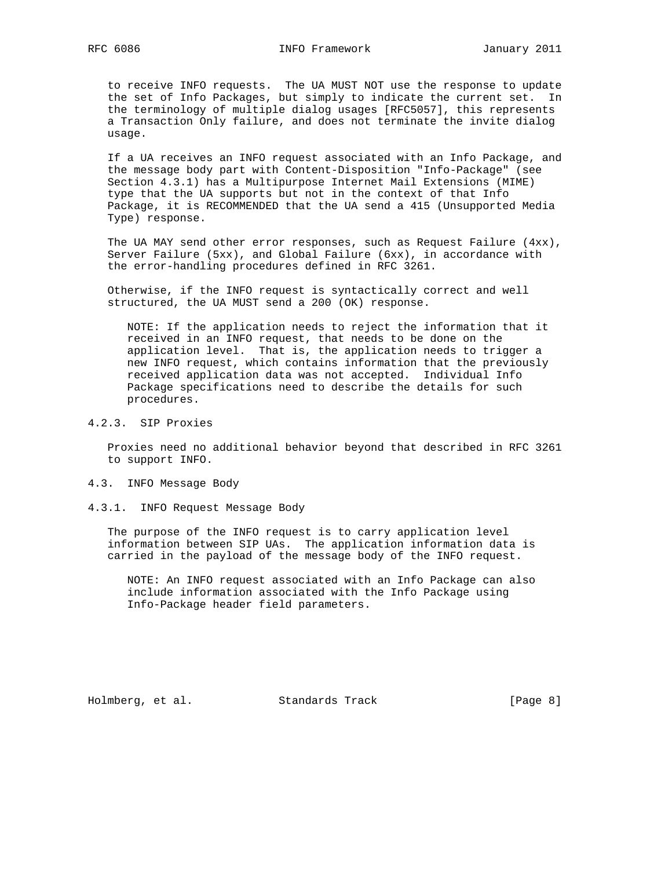to receive INFO requests. The UA MUST NOT use the response to update the set of Info Packages, but simply to indicate the current set. In the terminology of multiple dialog usages [RFC5057], this represents a Transaction Only failure, and does not terminate the invite dialog usage.

 If a UA receives an INFO request associated with an Info Package, and the message body part with Content-Disposition "Info-Package" (see Section 4.3.1) has a Multipurpose Internet Mail Extensions (MIME) type that the UA supports but not in the context of that Info Package, it is RECOMMENDED that the UA send a 415 (Unsupported Media Type) response.

The UA MAY send other error responses, such as Request Failure (4xx), Server Failure (5xx), and Global Failure (6xx), in accordance with the error-handling procedures defined in RFC 3261.

 Otherwise, if the INFO request is syntactically correct and well structured, the UA MUST send a 200 (OK) response.

 NOTE: If the application needs to reject the information that it received in an INFO request, that needs to be done on the application level. That is, the application needs to trigger a new INFO request, which contains information that the previously received application data was not accepted. Individual Info Package specifications need to describe the details for such procedures.

### 4.2.3. SIP Proxies

 Proxies need no additional behavior beyond that described in RFC 3261 to support INFO.

### 4.3. INFO Message Body

4.3.1. INFO Request Message Body

 The purpose of the INFO request is to carry application level information between SIP UAs. The application information data is carried in the payload of the message body of the INFO request.

 NOTE: An INFO request associated with an Info Package can also include information associated with the Info Package using Info-Package header field parameters.

Holmberg, et al. Standards Track [Page 8]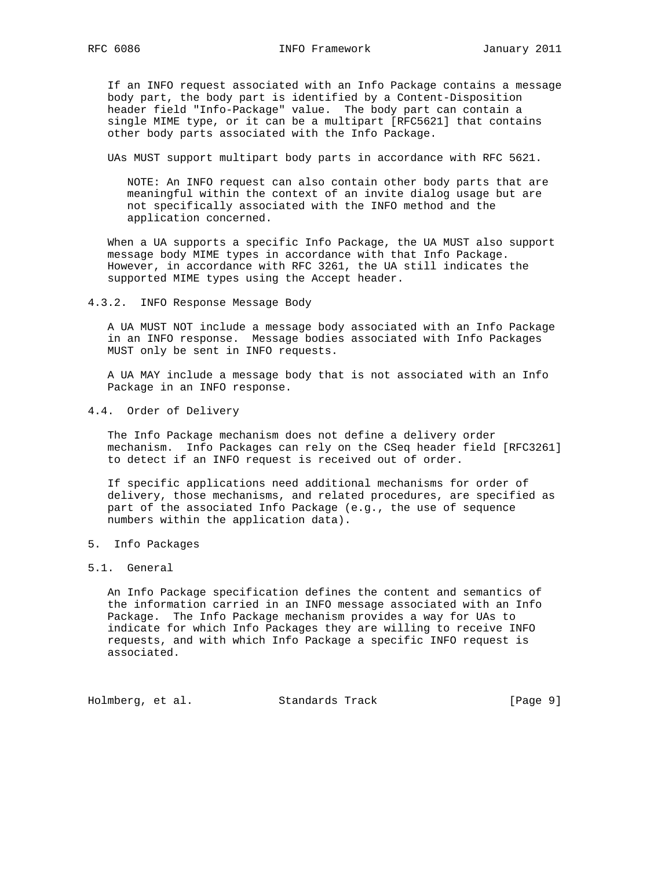If an INFO request associated with an Info Package contains a message body part, the body part is identified by a Content-Disposition header field "Info-Package" value. The body part can contain a single MIME type, or it can be a multipart [RFC5621] that contains other body parts associated with the Info Package.

UAs MUST support multipart body parts in accordance with RFC 5621.

 NOTE: An INFO request can also contain other body parts that are meaningful within the context of an invite dialog usage but are not specifically associated with the INFO method and the application concerned.

 When a UA supports a specific Info Package, the UA MUST also support message body MIME types in accordance with that Info Package. However, in accordance with RFC 3261, the UA still indicates the supported MIME types using the Accept header.

4.3.2. INFO Response Message Body

 A UA MUST NOT include a message body associated with an Info Package in an INFO response. Message bodies associated with Info Packages MUST only be sent in INFO requests.

 A UA MAY include a message body that is not associated with an Info Package in an INFO response.

4.4. Order of Delivery

 The Info Package mechanism does not define a delivery order mechanism. Info Packages can rely on the CSeq header field [RFC3261] to detect if an INFO request is received out of order.

 If specific applications need additional mechanisms for order of delivery, those mechanisms, and related procedures, are specified as part of the associated Info Package (e.g., the use of sequence numbers within the application data).

- 5. Info Packages
- 5.1. General

 An Info Package specification defines the content and semantics of the information carried in an INFO message associated with an Info Package. The Info Package mechanism provides a way for UAs to indicate for which Info Packages they are willing to receive INFO requests, and with which Info Package a specific INFO request is associated.

Holmberg, et al. Standards Track [Page 9]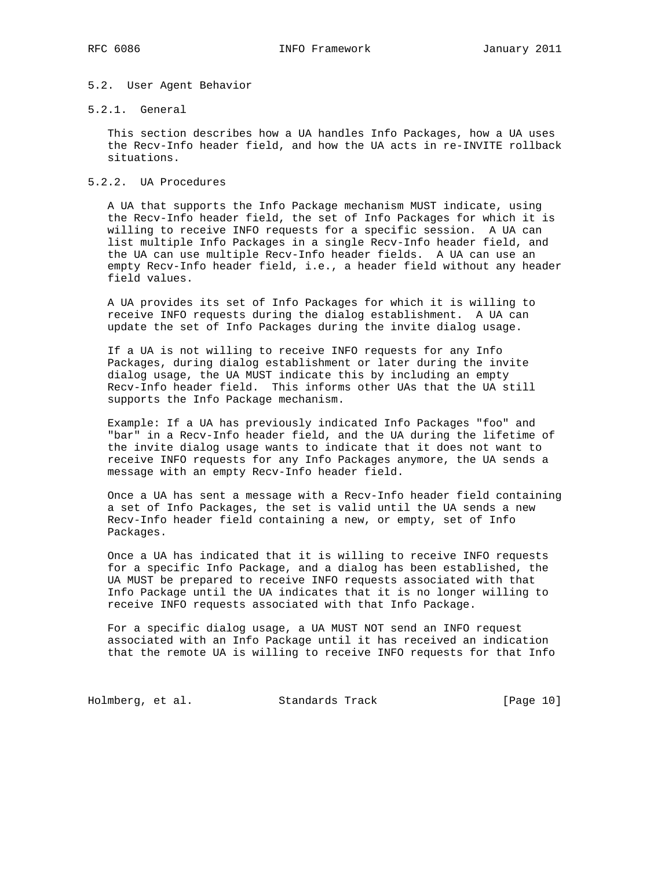### 5.2. User Agent Behavior

#### 5.2.1. General

 This section describes how a UA handles Info Packages, how a UA uses the Recv-Info header field, and how the UA acts in re-INVITE rollback situations.

### 5.2.2. UA Procedures

 A UA that supports the Info Package mechanism MUST indicate, using the Recv-Info header field, the set of Info Packages for which it is willing to receive INFO requests for a specific session. A UA can list multiple Info Packages in a single Recv-Info header field, and the UA can use multiple Recv-Info header fields. A UA can use an empty Recv-Info header field, i.e., a header field without any header field values.

 A UA provides its set of Info Packages for which it is willing to receive INFO requests during the dialog establishment. A UA can update the set of Info Packages during the invite dialog usage.

 If a UA is not willing to receive INFO requests for any Info Packages, during dialog establishment or later during the invite dialog usage, the UA MUST indicate this by including an empty Recv-Info header field. This informs other UAs that the UA still supports the Info Package mechanism.

 Example: If a UA has previously indicated Info Packages "foo" and "bar" in a Recv-Info header field, and the UA during the lifetime of the invite dialog usage wants to indicate that it does not want to receive INFO requests for any Info Packages anymore, the UA sends a message with an empty Recv-Info header field.

 Once a UA has sent a message with a Recv-Info header field containing a set of Info Packages, the set is valid until the UA sends a new Recv-Info header field containing a new, or empty, set of Info Packages.

 Once a UA has indicated that it is willing to receive INFO requests for a specific Info Package, and a dialog has been established, the UA MUST be prepared to receive INFO requests associated with that Info Package until the UA indicates that it is no longer willing to receive INFO requests associated with that Info Package.

 For a specific dialog usage, a UA MUST NOT send an INFO request associated with an Info Package until it has received an indication that the remote UA is willing to receive INFO requests for that Info

Holmberg, et al. Standards Track [Page 10]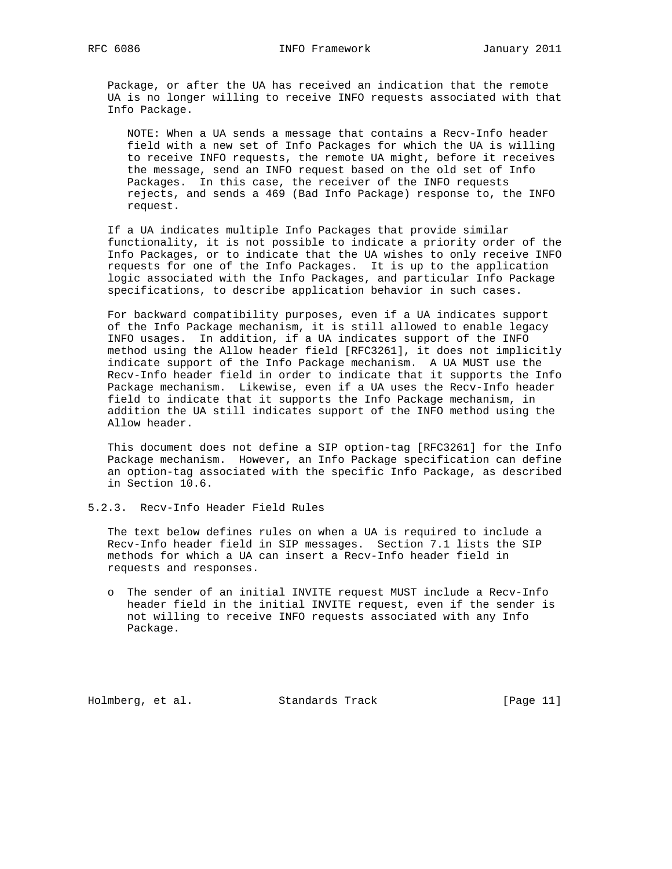Package, or after the UA has received an indication that the remote UA is no longer willing to receive INFO requests associated with that Info Package.

 NOTE: When a UA sends a message that contains a Recv-Info header field with a new set of Info Packages for which the UA is willing to receive INFO requests, the remote UA might, before it receives the message, send an INFO request based on the old set of Info Packages. In this case, the receiver of the INFO requests rejects, and sends a 469 (Bad Info Package) response to, the INFO request.

 If a UA indicates multiple Info Packages that provide similar functionality, it is not possible to indicate a priority order of the Info Packages, or to indicate that the UA wishes to only receive INFO requests for one of the Info Packages. It is up to the application logic associated with the Info Packages, and particular Info Package specifications, to describe application behavior in such cases.

 For backward compatibility purposes, even if a UA indicates support of the Info Package mechanism, it is still allowed to enable legacy INFO usages. In addition, if a UA indicates support of the INFO method using the Allow header field [RFC3261], it does not implicitly indicate support of the Info Package mechanism. A UA MUST use the Recv-Info header field in order to indicate that it supports the Info Package mechanism. Likewise, even if a UA uses the Recv-Info header field to indicate that it supports the Info Package mechanism, in addition the UA still indicates support of the INFO method using the Allow header.

 This document does not define a SIP option-tag [RFC3261] for the Info Package mechanism. However, an Info Package specification can define an option-tag associated with the specific Info Package, as described in Section 10.6.

5.2.3. Recv-Info Header Field Rules

 The text below defines rules on when a UA is required to include a Recv-Info header field in SIP messages. Section 7.1 lists the SIP methods for which a UA can insert a Recv-Info header field in requests and responses.

 o The sender of an initial INVITE request MUST include a Recv-Info header field in the initial INVITE request, even if the sender is not willing to receive INFO requests associated with any Info Package.

Holmberg, et al. Standards Track [Page 11]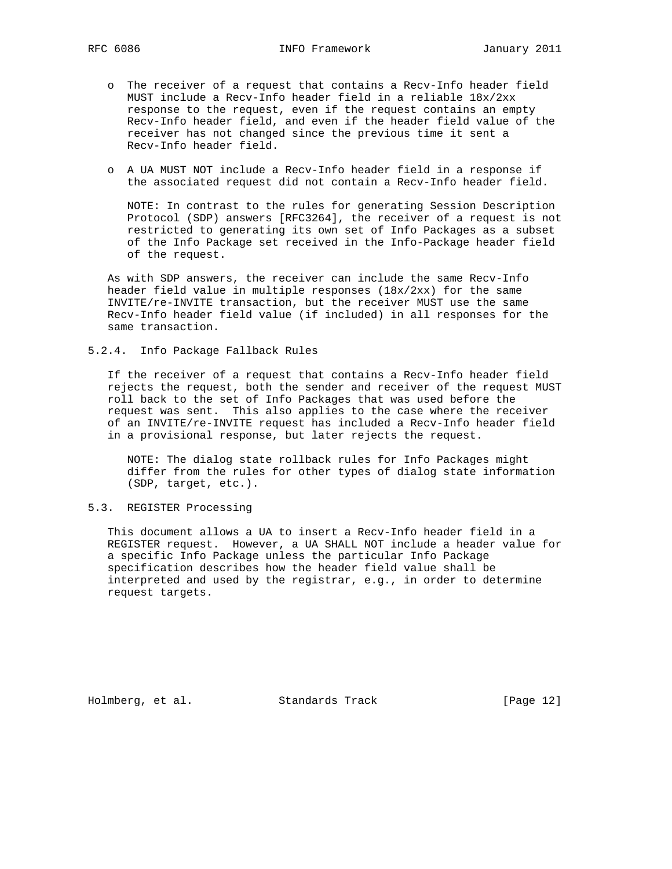RFC 6086 INFO Framework January 2011

- o The receiver of a request that contains a Recv-Info header field MUST include a Recv-Info header field in a reliable 18x/2xx response to the request, even if the request contains an empty Recv-Info header field, and even if the header field value of the receiver has not changed since the previous time it sent a Recv-Info header field.
- o A UA MUST NOT include a Recv-Info header field in a response if the associated request did not contain a Recv-Info header field.

 NOTE: In contrast to the rules for generating Session Description Protocol (SDP) answers [RFC3264], the receiver of a request is not restricted to generating its own set of Info Packages as a subset of the Info Package set received in the Info-Package header field of the request.

 As with SDP answers, the receiver can include the same Recv-Info header field value in multiple responses (18x/2xx) for the same INVITE/re-INVITE transaction, but the receiver MUST use the same Recv-Info header field value (if included) in all responses for the same transaction.

### 5.2.4. Info Package Fallback Rules

 If the receiver of a request that contains a Recv-Info header field rejects the request, both the sender and receiver of the request MUST roll back to the set of Info Packages that was used before the request was sent. This also applies to the case where the receiver of an INVITE/re-INVITE request has included a Recv-Info header field in a provisional response, but later rejects the request.

 NOTE: The dialog state rollback rules for Info Packages might differ from the rules for other types of dialog state information (SDP, target, etc.).

## 5.3. REGISTER Processing

 This document allows a UA to insert a Recv-Info header field in a REGISTER request. However, a UA SHALL NOT include a header value for a specific Info Package unless the particular Info Package specification describes how the header field value shall be interpreted and used by the registrar, e.g., in order to determine request targets.

Holmberg, et al. Standards Track [Page 12]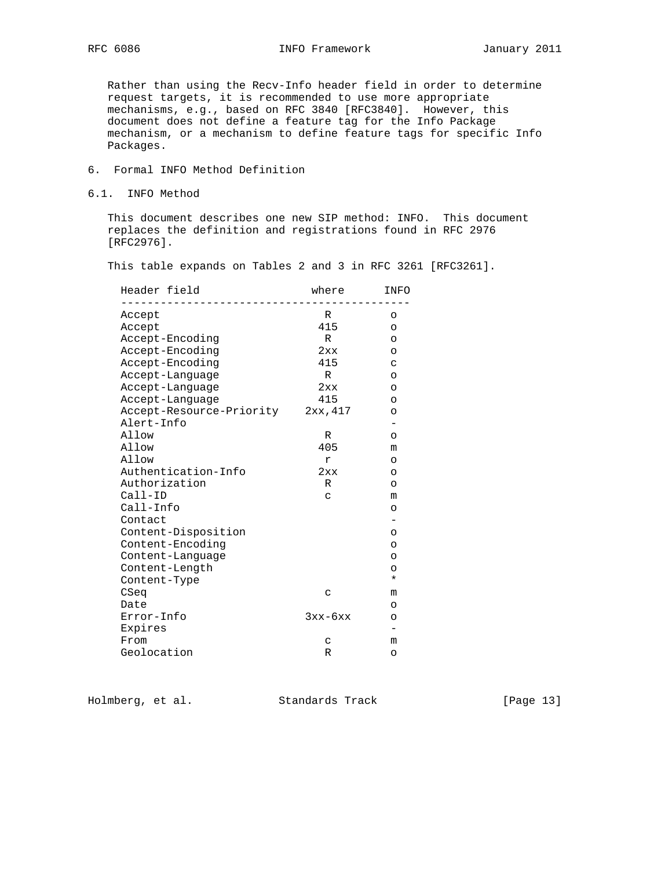Rather than using the Recv-Info header field in order to determine request targets, it is recommended to use more appropriate mechanisms, e.g., based on RFC 3840 [RFC3840]. However, this document does not define a feature tag for the Info Package mechanism, or a mechanism to define feature tags for specific Info Packages.

### 6. Formal INFO Method Definition

6.1. INFO Method

 This document describes one new SIP method: INFO. This document replaces the definition and registrations found in RFC 2976 [RFC2976].

This table expands on Tables 2 and 3 in RFC 3261 [RFC3261].

| Header field             | where     | INFO    |
|--------------------------|-----------|---------|
| Accept                   | R         | O       |
| Accept                   | 415       | $\circ$ |
| Accept-Encoding          | R         | $\circ$ |
| Accept-Encoding          | 2xx       | $\circ$ |
| Accept-Encoding          | 415       | C       |
| Accept-Language          | R         | $\circ$ |
| Accept-Language          | 2xx       | O       |
| Accept-Language          | 415       | $\circ$ |
| Accept-Resource-Priority | 2xx,417   | O       |
| Alert-Info               |           |         |
| Allow                    | R         | $\circ$ |
| Allow                    | 405       | m       |
| Allow                    | r         | $\circ$ |
| Authentication-Info      | 2xx       | $\circ$ |
| Authorization            | R         | $\circ$ |
| Call-ID                  | C         | m       |
| Call-Info                |           | $\circ$ |
| Contact                  |           |         |
| Content-Disposition      |           | $\circ$ |
| Content-Encoding         |           | $\circ$ |
| Content-Language         |           | $\circ$ |
| Content-Length           |           | O       |
| Content-Type             |           | $\star$ |
| CSeq                     | C         | m       |
| Date                     |           | $\circ$ |
| Error-Info               | $3xx-6xx$ | O       |
| Expires                  |           |         |
| From                     | C         | m       |
| Geolocation              | R         | $\circ$ |

Holmberg, et al. Standards Track [Page 13]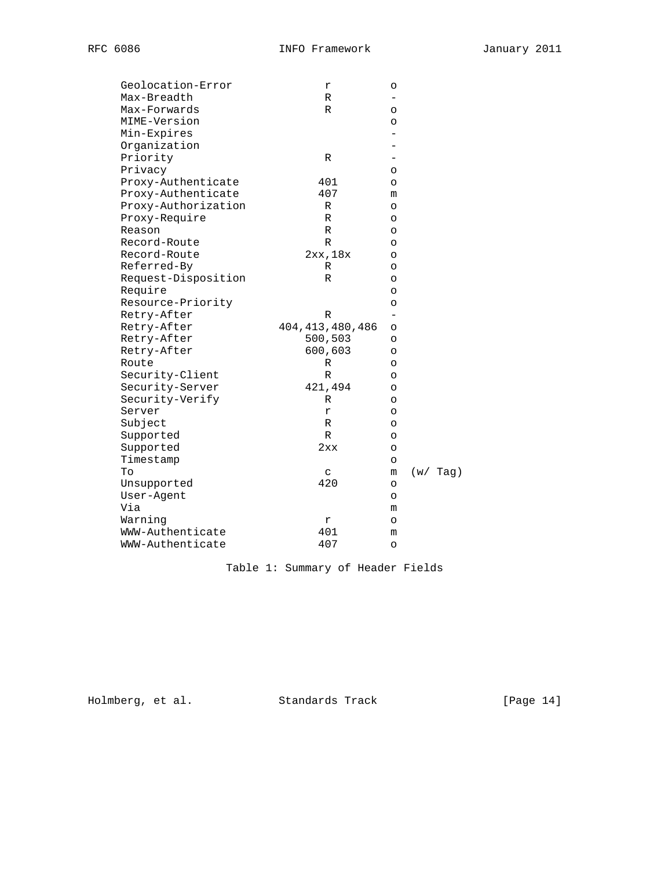| Geolocation-Error   | r                  | O        |           |
|---------------------|--------------------|----------|-----------|
| Max-Breadth         | $\mathbb R$        | -        |           |
| Max-Forwards        | R                  | O        |           |
| MIME-Version        |                    | $\circ$  |           |
| Min-Expires         |                    |          |           |
| Organization        |                    |          |           |
| Priority            | R                  |          |           |
| Privacy             |                    | $\circ$  |           |
| Proxy-Authenticate  | 401                | $\circ$  |           |
| Proxy-Authenticate  | 407                | m        |           |
| Proxy-Authorization | R                  | $\circ$  |           |
| Proxy-Require       | $\mathbb R$        | $\circ$  |           |
| Reason              | R                  | $\circ$  |           |
| Record-Route        | R                  | $\circ$  |           |
| Record-Route        | 2xx,18x            | $\circ$  |           |
| Referred-By         | R                  | $\circ$  |           |
| Request-Disposition | R                  | $\circ$  |           |
| Require             |                    | $\circ$  |           |
| Resource-Priority   |                    | O        |           |
| Retry-After         | R                  | $\equiv$ |           |
| Retry-After         | 404, 413, 480, 486 | $\circ$  |           |
| Retry-After         | 500,503            | $\circ$  |           |
| Retry-After         | 600,603            | $\circ$  |           |
| Route               | R                  | $\circ$  |           |
| Security-Client     | $\mathbb{R}$       | $\circ$  |           |
| Security-Server     | 421,494            | $\circ$  |           |
| Security-Verify     | R                  | $\circ$  |           |
| Server              | r                  | O        |           |
| Subject             | R                  | $\circ$  |           |
| Supported           | R                  | $\circ$  |           |
| Supported           | 2xx                | $\circ$  |           |
| Timestamp           |                    | $\circ$  |           |
| To                  | C                  | m        | (w / Tag) |
| Unsupported         | 420                | $\circ$  |           |
| User-Agent          |                    | $\circ$  |           |
| Via                 |                    | m        |           |
| Warning             | r                  | O        |           |
| WWW-Authenticate    | 401                | m        |           |
| WWW-Authenticate    | 407                | O        |           |
|                     |                    |          |           |

Table 1: Summary of Header Fields

Holmberg, et al. Standards Track [Page 14]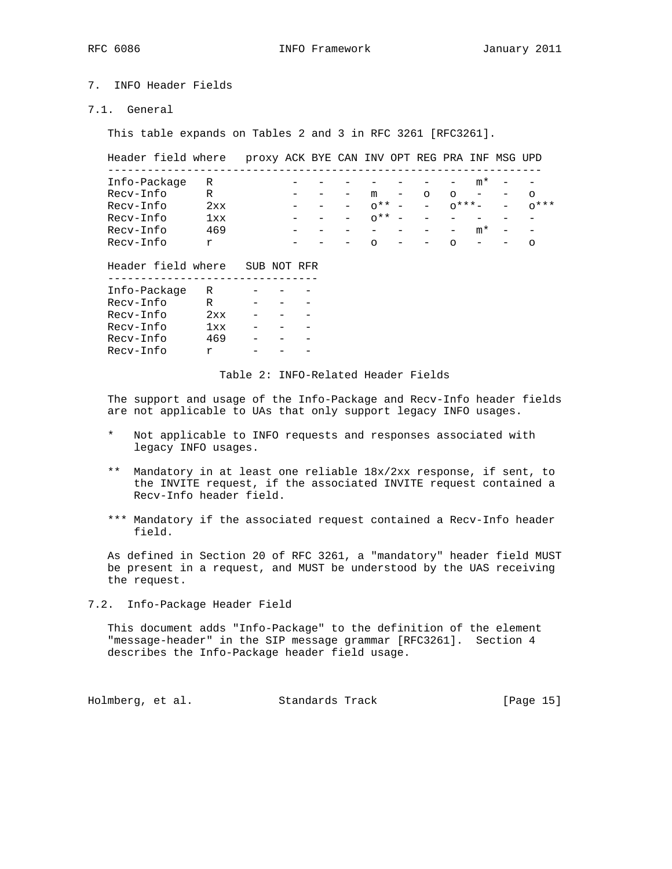## 7. INFO Header Fields

7.1. General

This table expands on Tables 2 and 3 in RFC 3261 [RFC3261].

| Header field where |     | proxy ACK BYE CAN INV OPT REG PRA INF MSG UPD |  |                          |                   |                          |            |         |                          |                          |                          |
|--------------------|-----|-----------------------------------------------|--|--------------------------|-------------------|--------------------------|------------|---------|--------------------------|--------------------------|--------------------------|
|                    |     |                                               |  |                          |                   |                          |            |         |                          |                          |                          |
| Info-Package       | R   |                                               |  |                          |                   |                          | $\sim$ $-$ | $ -$    | m*                       | $\overline{\phantom{m}}$ |                          |
| Recy-Info          | R   |                                               |  | $-$                      | m                 | $\overline{\phantom{a}}$ | $\circ$    | $\circ$ | $\sim$ $-$               | $\overline{\phantom{a}}$ | $\cap$                   |
| Recy-Info          | 2xx |                                               |  |                          | $ \bigcirc^*$ $-$ |                          |            |         |                          |                          | $ 0***$ $ 0***$          |
| Recy-Info          | 1xx |                                               |  | $\overline{\phantom{a}}$ | $0***$ -          |                          |            |         |                          |                          |                          |
| Recy-Info          | 469 |                                               |  |                          |                   |                          |            |         | m*                       |                          |                          |
| Recy-Info          | r   |                                               |  |                          | $\Omega$          |                          |            | $\cap$  | $\overline{\phantom{m}}$ | $\sim$ $-$               | $\overline{\phantom{0}}$ |
|                    |     |                                               |  |                          |                   |                          |            |         |                          |                          |                          |

### Header field where SUB NOT RFR

## Table 2: INFO-Related Header Fields

 The support and usage of the Info-Package and Recv-Info header fields are not applicable to UAs that only support legacy INFO usages.

- \* Not applicable to INFO requests and responses associated with legacy INFO usages.
- \*\* Mandatory in at least one reliable 18x/2xx response, if sent, to the INVITE request, if the associated INVITE request contained a Recv-Info header field.
- \*\*\* Mandatory if the associated request contained a Recv-Info header field.

 As defined in Section 20 of RFC 3261, a "mandatory" header field MUST be present in a request, and MUST be understood by the UAS receiving the request.

7.2. Info-Package Header Field

 This document adds "Info-Package" to the definition of the element "message-header" in the SIP message grammar [RFC3261]. Section 4 describes the Info-Package header field usage.

Holmberg, et al. Standards Track [Page 15]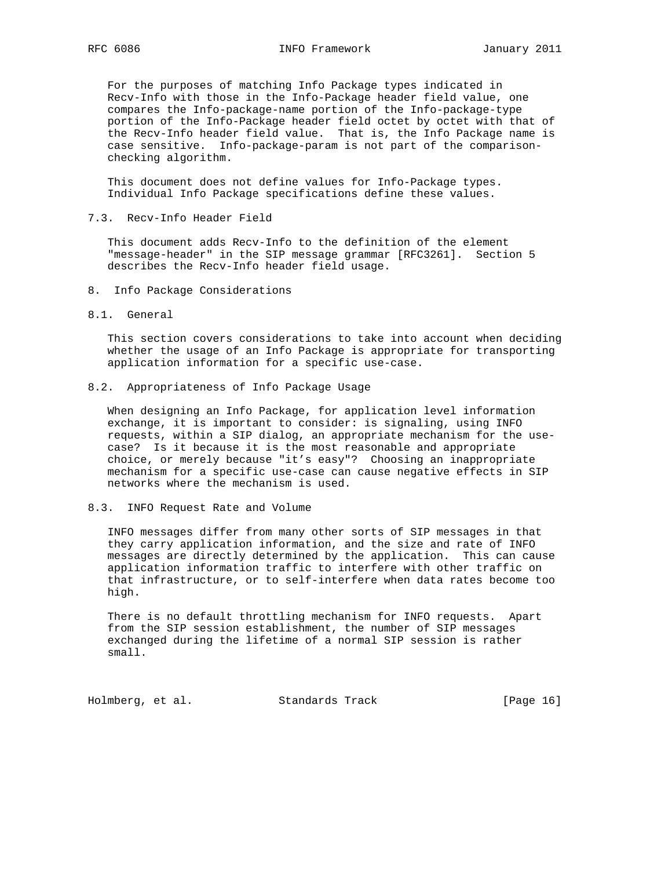For the purposes of matching Info Package types indicated in Recv-Info with those in the Info-Package header field value, one compares the Info-package-name portion of the Info-package-type portion of the Info-Package header field octet by octet with that of the Recv-Info header field value. That is, the Info Package name is case sensitive. Info-package-param is not part of the comparison checking algorithm.

 This document does not define values for Info-Package types. Individual Info Package specifications define these values.

7.3. Recv-Info Header Field

 This document adds Recv-Info to the definition of the element "message-header" in the SIP message grammar [RFC3261]. Section 5 describes the Recv-Info header field usage.

- 8. Info Package Considerations
- 8.1. General

 This section covers considerations to take into account when deciding whether the usage of an Info Package is appropriate for transporting application information for a specific use-case.

8.2. Appropriateness of Info Package Usage

 When designing an Info Package, for application level information exchange, it is important to consider: is signaling, using INFO requests, within a SIP dialog, an appropriate mechanism for the use case? Is it because it is the most reasonable and appropriate choice, or merely because "it's easy"? Choosing an inappropriate mechanism for a specific use-case can cause negative effects in SIP networks where the mechanism is used.

8.3. INFO Request Rate and Volume

 INFO messages differ from many other sorts of SIP messages in that they carry application information, and the size and rate of INFO messages are directly determined by the application. This can cause application information traffic to interfere with other traffic on that infrastructure, or to self-interfere when data rates become too high.

 There is no default throttling mechanism for INFO requests. Apart from the SIP session establishment, the number of SIP messages exchanged during the lifetime of a normal SIP session is rather small.

Holmberg, et al. Standards Track [Page 16]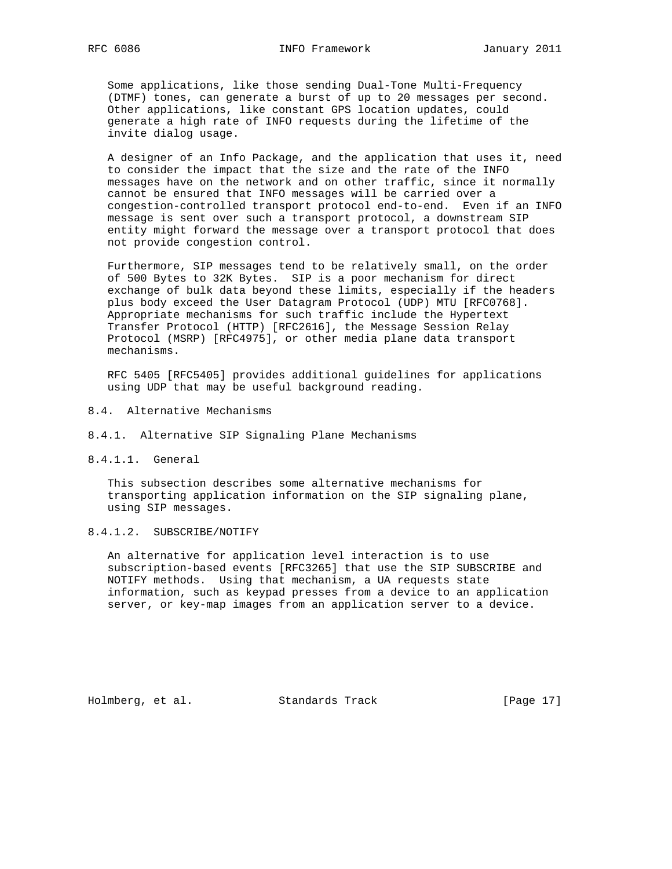Some applications, like those sending Dual-Tone Multi-Frequency (DTMF) tones, can generate a burst of up to 20 messages per second. Other applications, like constant GPS location updates, could generate a high rate of INFO requests during the lifetime of the invite dialog usage.

 A designer of an Info Package, and the application that uses it, need to consider the impact that the size and the rate of the INFO messages have on the network and on other traffic, since it normally cannot be ensured that INFO messages will be carried over a congestion-controlled transport protocol end-to-end. Even if an INFO message is sent over such a transport protocol, a downstream SIP entity might forward the message over a transport protocol that does not provide congestion control.

 Furthermore, SIP messages tend to be relatively small, on the order of 500 Bytes to 32K Bytes. SIP is a poor mechanism for direct exchange of bulk data beyond these limits, especially if the headers plus body exceed the User Datagram Protocol (UDP) MTU [RFC0768]. Appropriate mechanisms for such traffic include the Hypertext Transfer Protocol (HTTP) [RFC2616], the Message Session Relay Protocol (MSRP) [RFC4975], or other media plane data transport mechanisms.

 RFC 5405 [RFC5405] provides additional guidelines for applications using UDP that may be useful background reading.

- 8.4. Alternative Mechanisms
- 8.4.1. Alternative SIP Signaling Plane Mechanisms
- 8.4.1.1. General

 This subsection describes some alternative mechanisms for transporting application information on the SIP signaling plane, using SIP messages.

## 8.4.1.2. SUBSCRIBE/NOTIFY

 An alternative for application level interaction is to use subscription-based events [RFC3265] that use the SIP SUBSCRIBE and NOTIFY methods. Using that mechanism, a UA requests state information, such as keypad presses from a device to an application server, or key-map images from an application server to a device.

Holmberg, et al. Standards Track [Page 17]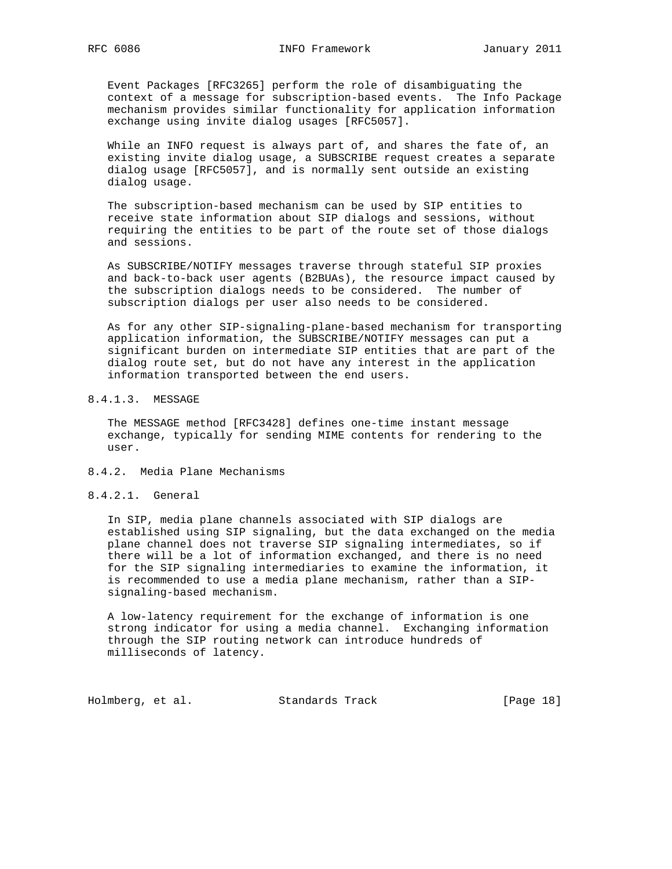Event Packages [RFC3265] perform the role of disambiguating the context of a message for subscription-based events. The Info Package mechanism provides similar functionality for application information exchange using invite dialog usages [RFC5057].

 While an INFO request is always part of, and shares the fate of, an existing invite dialog usage, a SUBSCRIBE request creates a separate dialog usage [RFC5057], and is normally sent outside an existing dialog usage.

 The subscription-based mechanism can be used by SIP entities to receive state information about SIP dialogs and sessions, without requiring the entities to be part of the route set of those dialogs and sessions.

 As SUBSCRIBE/NOTIFY messages traverse through stateful SIP proxies and back-to-back user agents (B2BUAs), the resource impact caused by the subscription dialogs needs to be considered. The number of subscription dialogs per user also needs to be considered.

 As for any other SIP-signaling-plane-based mechanism for transporting application information, the SUBSCRIBE/NOTIFY messages can put a significant burden on intermediate SIP entities that are part of the dialog route set, but do not have any interest in the application information transported between the end users.

### 8.4.1.3. MESSAGE

 The MESSAGE method [RFC3428] defines one-time instant message exchange, typically for sending MIME contents for rendering to the user.

8.4.2. Media Plane Mechanisms

### 8.4.2.1. General

 In SIP, media plane channels associated with SIP dialogs are established using SIP signaling, but the data exchanged on the media plane channel does not traverse SIP signaling intermediates, so if there will be a lot of information exchanged, and there is no need for the SIP signaling intermediaries to examine the information, it is recommended to use a media plane mechanism, rather than a SIP signaling-based mechanism.

 A low-latency requirement for the exchange of information is one strong indicator for using a media channel. Exchanging information through the SIP routing network can introduce hundreds of milliseconds of latency.

Holmberg, et al. Standards Track [Page 18]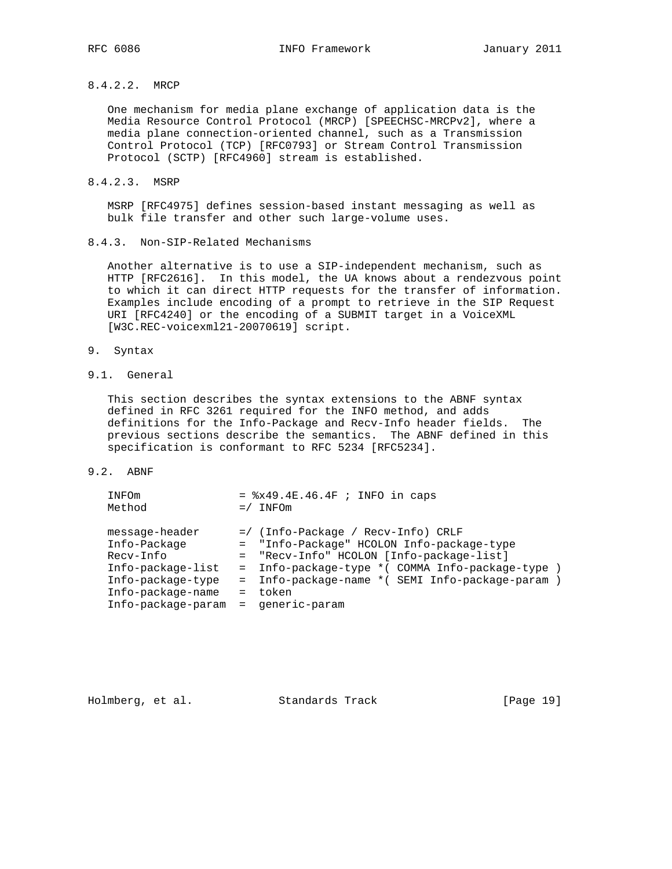## 8.4.2.2. MRCP

 One mechanism for media plane exchange of application data is the Media Resource Control Protocol (MRCP) [SPEECHSC-MRCPv2], where a media plane connection-oriented channel, such as a Transmission Control Protocol (TCP) [RFC0793] or Stream Control Transmission Protocol (SCTP) [RFC4960] stream is established.

### 8.4.2.3. MSRP

 MSRP [RFC4975] defines session-based instant messaging as well as bulk file transfer and other such large-volume uses.

### 8.4.3. Non-SIP-Related Mechanisms

 Another alternative is to use a SIP-independent mechanism, such as HTTP [RFC2616]. In this model, the UA knows about a rendezvous point to which it can direct HTTP requests for the transfer of information. Examples include encoding of a prompt to retrieve in the SIP Request URI [RFC4240] or the encoding of a SUBMIT target in a VoiceXML [W3C.REC-voicexml21-20070619] script.

- 9. Syntax
- 9.1. General

 This section describes the syntax extensions to the ABNF syntax defined in RFC 3261 required for the INFO method, and adds definitions for the Info-Package and Recv-Info header fields. The previous sections describe the semantics. The ABNF defined in this specification is conformant to RFC 5234 [RFC5234].

### 9.2. ABNF

| INFOm<br>Method    | $=$ $x49.4E.46.4F$ ; INFO in caps<br>$= /$ INFOm |                                                   |  |  |  |  |  |
|--------------------|--------------------------------------------------|---------------------------------------------------|--|--|--|--|--|
|                    |                                                  |                                                   |  |  |  |  |  |
| message-header     |                                                  | =/ (Info-Package / Recv-Info) CRLF                |  |  |  |  |  |
| Info-Package       |                                                  | = "Info-Package" HCOLON Info-package-type         |  |  |  |  |  |
| Recv-Info          |                                                  | = "Recv-Info" HCOLON [Info-package-list]          |  |  |  |  |  |
| Info-package-list  |                                                  | = Info-package-type * ( COMMA Info-package-type ) |  |  |  |  |  |
| Info-package-type  |                                                  | = Info-package-name * (SEMI Info-package-param )  |  |  |  |  |  |
| Info-package-name  | $=$                                              | token                                             |  |  |  |  |  |
| Info-package-param |                                                  | = qeneric-param                                   |  |  |  |  |  |
|                    |                                                  |                                                   |  |  |  |  |  |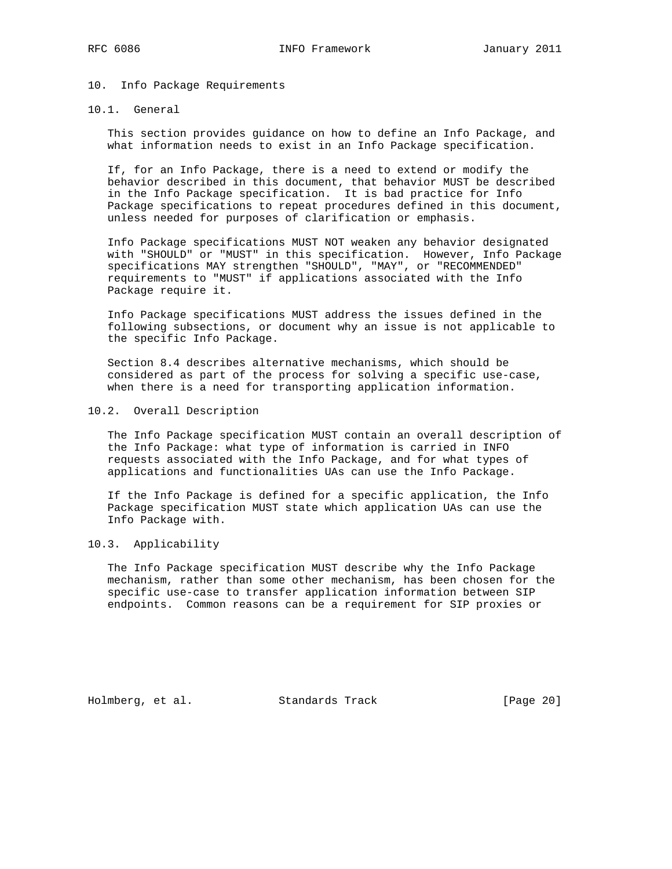### 10. Info Package Requirements

### 10.1. General

 This section provides guidance on how to define an Info Package, and what information needs to exist in an Info Package specification.

 If, for an Info Package, there is a need to extend or modify the behavior described in this document, that behavior MUST be described in the Info Package specification. It is bad practice for Info Package specifications to repeat procedures defined in this document, unless needed for purposes of clarification or emphasis.

 Info Package specifications MUST NOT weaken any behavior designated with "SHOULD" or "MUST" in this specification. However, Info Package specifications MAY strengthen "SHOULD", "MAY", or "RECOMMENDED" requirements to "MUST" if applications associated with the Info Package require it.

 Info Package specifications MUST address the issues defined in the following subsections, or document why an issue is not applicable to the specific Info Package.

 Section 8.4 describes alternative mechanisms, which should be considered as part of the process for solving a specific use-case, when there is a need for transporting application information.

### 10.2. Overall Description

 The Info Package specification MUST contain an overall description of the Info Package: what type of information is carried in INFO requests associated with the Info Package, and for what types of applications and functionalities UAs can use the Info Package.

 If the Info Package is defined for a specific application, the Info Package specification MUST state which application UAs can use the Info Package with.

## 10.3. Applicability

 The Info Package specification MUST describe why the Info Package mechanism, rather than some other mechanism, has been chosen for the specific use-case to transfer application information between SIP endpoints. Common reasons can be a requirement for SIP proxies or

Holmberg, et al. Standards Track [Page 20]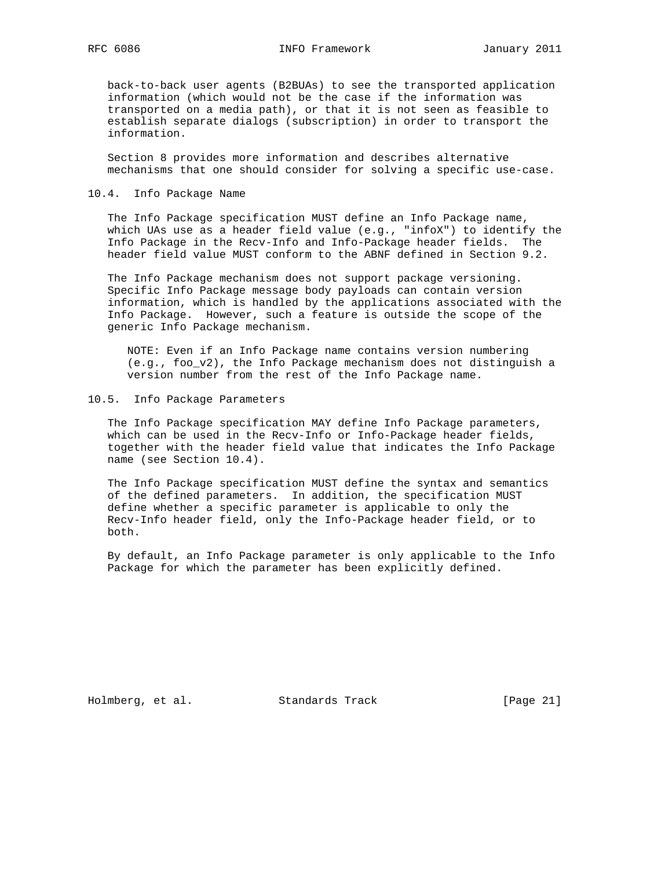back-to-back user agents (B2BUAs) to see the transported application information (which would not be the case if the information was transported on a media path), or that it is not seen as feasible to establish separate dialogs (subscription) in order to transport the information.

 Section 8 provides more information and describes alternative mechanisms that one should consider for solving a specific use-case.

### 10.4. Info Package Name

 The Info Package specification MUST define an Info Package name, which UAs use as a header field value (e.g., "infoX") to identify the Info Package in the Recv-Info and Info-Package header fields. The header field value MUST conform to the ABNF defined in Section 9.2.

 The Info Package mechanism does not support package versioning. Specific Info Package message body payloads can contain version information, which is handled by the applications associated with the Info Package. However, such a feature is outside the scope of the generic Info Package mechanism.

 NOTE: Even if an Info Package name contains version numbering (e.g., foo\_v2), the Info Package mechanism does not distinguish a version number from the rest of the Info Package name.

### 10.5. Info Package Parameters

 The Info Package specification MAY define Info Package parameters, which can be used in the Recv-Info or Info-Package header fields, together with the header field value that indicates the Info Package name (see Section 10.4).

 The Info Package specification MUST define the syntax and semantics of the defined parameters. In addition, the specification MUST define whether a specific parameter is applicable to only the Recv-Info header field, only the Info-Package header field, or to both.

 By default, an Info Package parameter is only applicable to the Info Package for which the parameter has been explicitly defined.

Holmberg, et al. Standards Track [Page 21]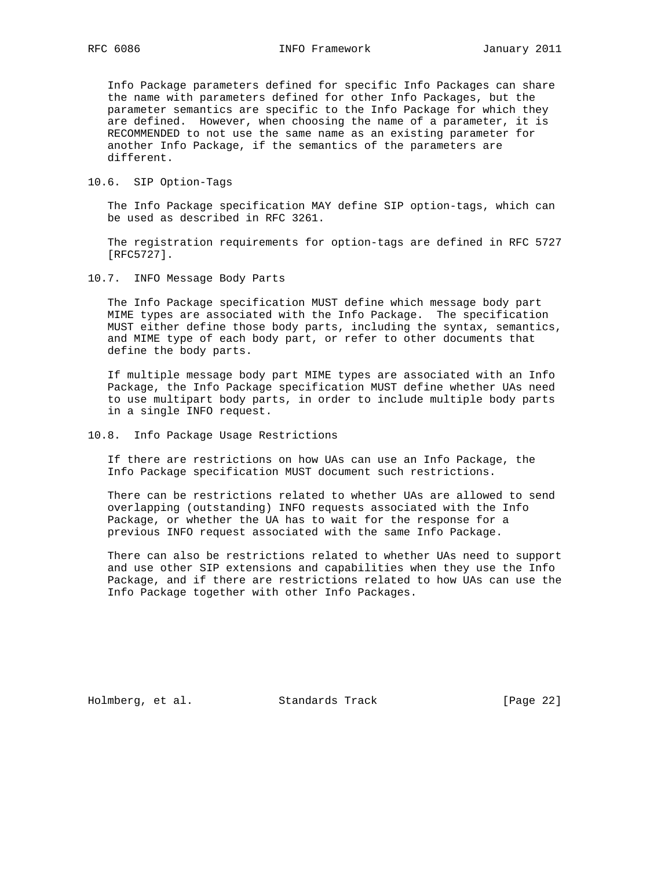Info Package parameters defined for specific Info Packages can share the name with parameters defined for other Info Packages, but the parameter semantics are specific to the Info Package for which they are defined. However, when choosing the name of a parameter, it is RECOMMENDED to not use the same name as an existing parameter for another Info Package, if the semantics of the parameters are different.

10.6. SIP Option-Tags

 The Info Package specification MAY define SIP option-tags, which can be used as described in RFC 3261.

 The registration requirements for option-tags are defined in RFC 5727 [RFC5727].

10.7. INFO Message Body Parts

 The Info Package specification MUST define which message body part MIME types are associated with the Info Package. The specification MUST either define those body parts, including the syntax, semantics, and MIME type of each body part, or refer to other documents that define the body parts.

 If multiple message body part MIME types are associated with an Info Package, the Info Package specification MUST define whether UAs need to use multipart body parts, in order to include multiple body parts in a single INFO request.

10.8. Info Package Usage Restrictions

 If there are restrictions on how UAs can use an Info Package, the Info Package specification MUST document such restrictions.

 There can be restrictions related to whether UAs are allowed to send overlapping (outstanding) INFO requests associated with the Info Package, or whether the UA has to wait for the response for a previous INFO request associated with the same Info Package.

 There can also be restrictions related to whether UAs need to support and use other SIP extensions and capabilities when they use the Info Package, and if there are restrictions related to how UAs can use the Info Package together with other Info Packages.

Holmberg, et al. Standards Track [Page 22]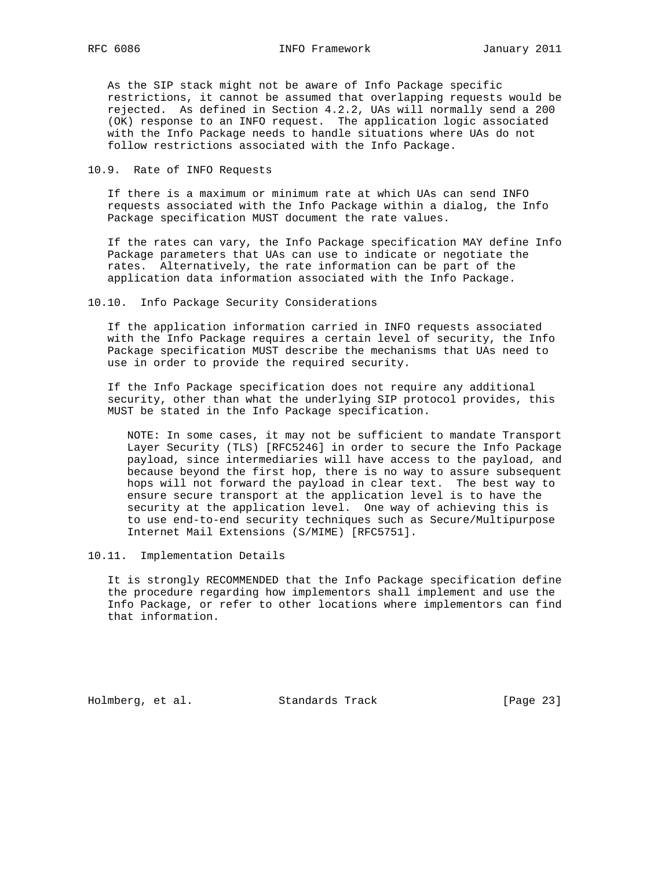As the SIP stack might not be aware of Info Package specific restrictions, it cannot be assumed that overlapping requests would be rejected. As defined in Section 4.2.2, UAs will normally send a 200 (OK) response to an INFO request. The application logic associated with the Info Package needs to handle situations where UAs do not follow restrictions associated with the Info Package.

10.9. Rate of INFO Requests

 If there is a maximum or minimum rate at which UAs can send INFO requests associated with the Info Package within a dialog, the Info Package specification MUST document the rate values.

 If the rates can vary, the Info Package specification MAY define Info Package parameters that UAs can use to indicate or negotiate the rates. Alternatively, the rate information can be part of the application data information associated with the Info Package.

10.10. Info Package Security Considerations

 If the application information carried in INFO requests associated with the Info Package requires a certain level of security, the Info Package specification MUST describe the mechanisms that UAs need to use in order to provide the required security.

 If the Info Package specification does not require any additional security, other than what the underlying SIP protocol provides, this MUST be stated in the Info Package specification.

 NOTE: In some cases, it may not be sufficient to mandate Transport Layer Security (TLS) [RFC5246] in order to secure the Info Package payload, since intermediaries will have access to the payload, and because beyond the first hop, there is no way to assure subsequent hops will not forward the payload in clear text. The best way to ensure secure transport at the application level is to have the security at the application level. One way of achieving this is to use end-to-end security techniques such as Secure/Multipurpose Internet Mail Extensions (S/MIME) [RFC5751].

10.11. Implementation Details

 It is strongly RECOMMENDED that the Info Package specification define the procedure regarding how implementors shall implement and use the Info Package, or refer to other locations where implementors can find that information.

Holmberg, et al. Standards Track [Page 23]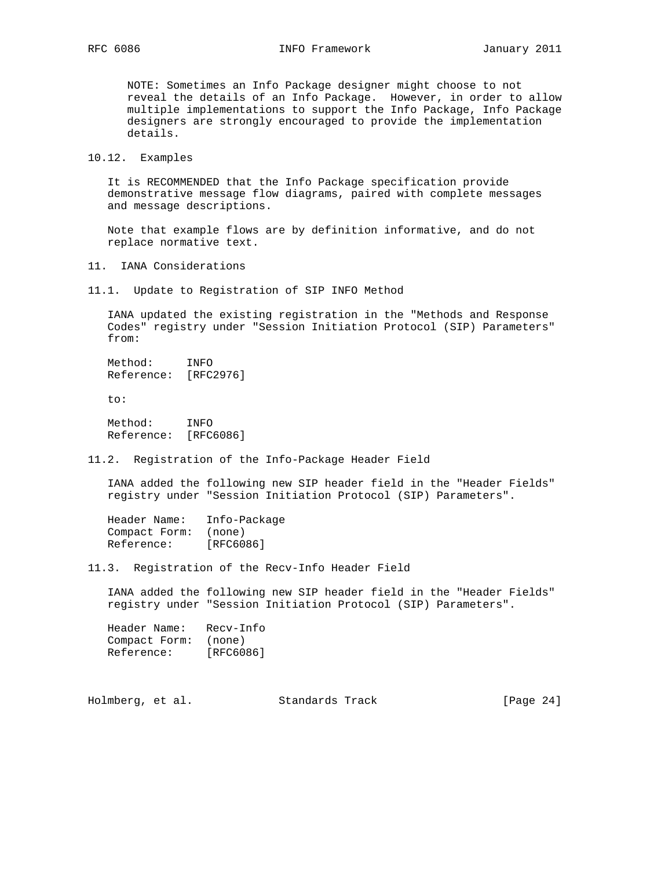NOTE: Sometimes an Info Package designer might choose to not reveal the details of an Info Package. However, in order to allow multiple implementations to support the Info Package, Info Package designers are strongly encouraged to provide the implementation details.

10.12. Examples

 It is RECOMMENDED that the Info Package specification provide demonstrative message flow diagrams, paired with complete messages and message descriptions.

 Note that example flows are by definition informative, and do not replace normative text.

11. IANA Considerations

11.1. Update to Registration of SIP INFO Method

 IANA updated the existing registration in the "Methods and Response Codes" registry under "Session Initiation Protocol (SIP) Parameters" from:

 Method: INFO Reference: [RFC2976]

to:

 Method: INFO Reference: [RFC6086]

11.2. Registration of the Info-Package Header Field

 IANA added the following new SIP header field in the "Header Fields" registry under "Session Initiation Protocol (SIP) Parameters".

 Header Name: Info-Package Compact Form: (none) Reference: [RFC6086]

11.3. Registration of the Recv-Info Header Field

 IANA added the following new SIP header field in the "Header Fields" registry under "Session Initiation Protocol (SIP) Parameters".

 Header Name: Recv-Info Compact Form: (none) Reference: [RFC6086]

Holmberg, et al. Standards Track [Page 24]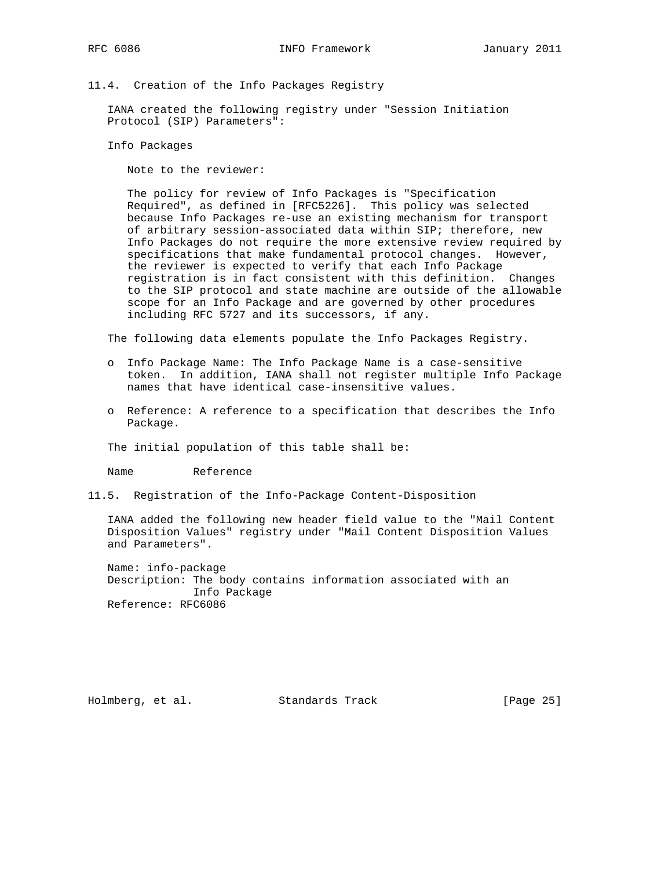11.4. Creation of the Info Packages Registry

 IANA created the following registry under "Session Initiation Protocol (SIP) Parameters":

Info Packages

Note to the reviewer:

 The policy for review of Info Packages is "Specification Required", as defined in [RFC5226]. This policy was selected because Info Packages re-use an existing mechanism for transport of arbitrary session-associated data within SIP; therefore, new Info Packages do not require the more extensive review required by specifications that make fundamental protocol changes. However, the reviewer is expected to verify that each Info Package registration is in fact consistent with this definition. Changes to the SIP protocol and state machine are outside of the allowable scope for an Info Package and are governed by other procedures including RFC 5727 and its successors, if any.

The following data elements populate the Info Packages Registry.

- o Info Package Name: The Info Package Name is a case-sensitive token. In addition, IANA shall not register multiple Info Package names that have identical case-insensitive values.
- o Reference: A reference to a specification that describes the Info Package.

The initial population of this table shall be:

Name Reference

11.5. Registration of the Info-Package Content-Disposition

 IANA added the following new header field value to the "Mail Content Disposition Values" registry under "Mail Content Disposition Values and Parameters".

 Name: info-package Description: The body contains information associated with an Info Package Reference: RFC6086

Holmberg, et al. Standards Track [Page 25]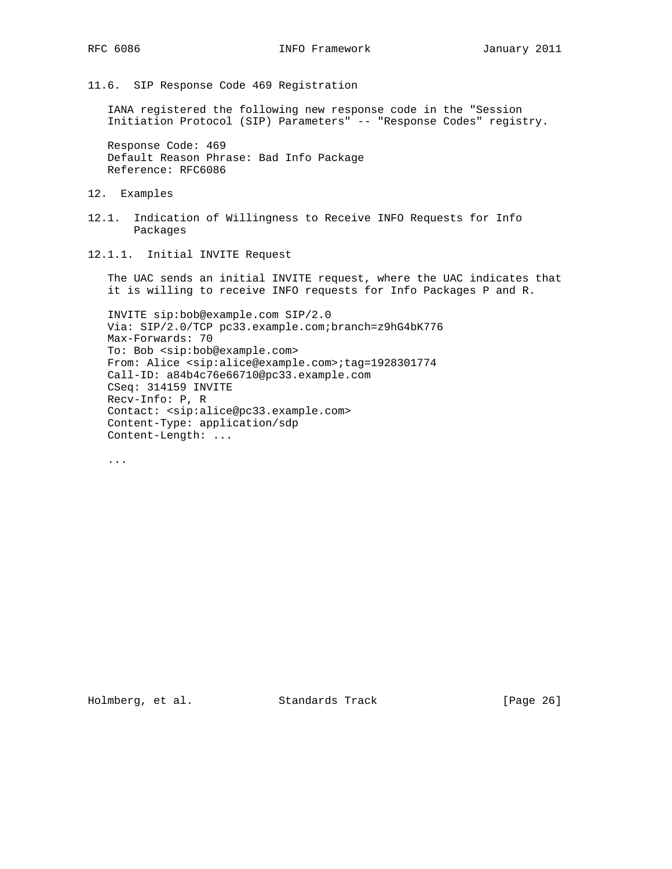11.6. SIP Response Code 469 Registration

 IANA registered the following new response code in the "Session Initiation Protocol (SIP) Parameters" -- "Response Codes" registry.

 Response Code: 469 Default Reason Phrase: Bad Info Package Reference: RFC6086

12. Examples

12.1. Indication of Willingness to Receive INFO Requests for Info Packages

12.1.1. Initial INVITE Request

 The UAC sends an initial INVITE request, where the UAC indicates that it is willing to receive INFO requests for Info Packages P and R.

 INVITE sip:bob@example.com SIP/2.0 Via: SIP/2.0/TCP pc33.example.com;branch=z9hG4bK776 Max-Forwards: 70 To: Bob <sip:bob@example.com> From: Alice <sip:alice@example.com>;tag=1928301774 Call-ID: a84b4c76e66710@pc33.example.com CSeq: 314159 INVITE Recv-Info: P, R Contact: <sip:alice@pc33.example.com> Content-Type: application/sdp Content-Length: ...

...

Holmberg, et al. Standards Track [Page 26]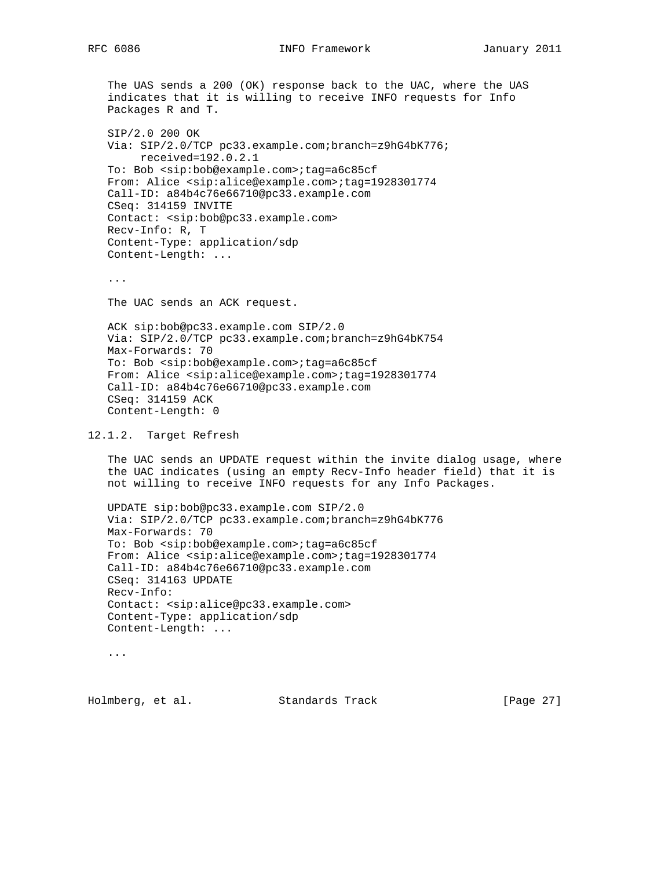The UAS sends a 200 (OK) response back to the UAC, where the UAS indicates that it is willing to receive INFO requests for Info Packages R and T.

 SIP/2.0 200 OK Via: SIP/2.0/TCP pc33.example.com;branch=z9hG4bK776; received=192.0.2.1 To: Bob <sip:bob@example.com>;tag=a6c85cf From: Alice <sip:alice@example.com>;tag=1928301774 Call-ID: a84b4c76e66710@pc33.example.com CSeq: 314159 INVITE Contact: <sip:bob@pc33.example.com> Recv-Info: R, T Content-Type: application/sdp Content-Length: ...

...

The UAC sends an ACK request.

 ACK sip:bob@pc33.example.com SIP/2.0 Via: SIP/2.0/TCP pc33.example.com;branch=z9hG4bK754 Max-Forwards: 70 To: Bob <sip:bob@example.com>;tag=a6c85cf From: Alice <sip:alice@example.com>;tag=1928301774 Call-ID: a84b4c76e66710@pc33.example.com CSeq: 314159 ACK Content-Length: 0

12.1.2. Target Refresh

 The UAC sends an UPDATE request within the invite dialog usage, where the UAC indicates (using an empty Recv-Info header field) that it is not willing to receive INFO requests for any Info Packages.

```
 UPDATE sip:bob@pc33.example.com SIP/2.0
Via: SIP/2.0/TCP pc33.example.com;branch=z9hG4bK776
Max-Forwards: 70
To: Bob <sip:bob@example.com>;tag=a6c85cf
From: Alice <sip:alice@example.com>;tag=1928301774
Call-ID: a84b4c76e66710@pc33.example.com
CSeq: 314163 UPDATE
Recv-Info:
Contact: <sip:alice@pc33.example.com>
Content-Type: application/sdp
Content-Length: ...
```
...

Holmberg, et al. Standards Track [Page 27]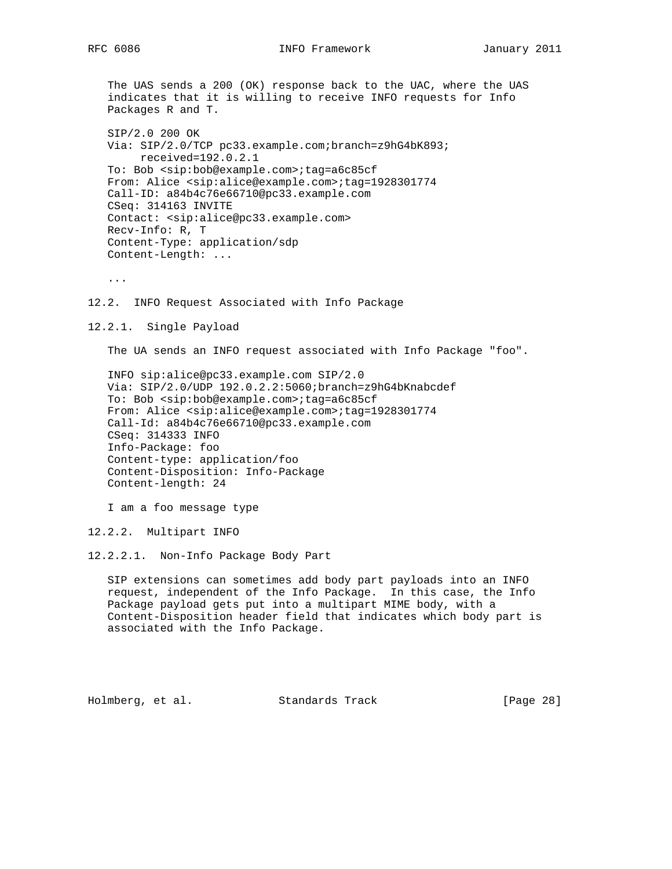The UAS sends a 200 (OK) response back to the UAC, where the UAS indicates that it is willing to receive INFO requests for Info Packages R and T.

 SIP/2.0 200 OK Via: SIP/2.0/TCP pc33.example.com;branch=z9hG4bK893; received=192.0.2.1 To: Bob <sip:bob@example.com>;tag=a6c85cf From: Alice <sip:alice@example.com>;tag=1928301774 Call-ID: a84b4c76e66710@pc33.example.com CSeq: 314163 INVITE Contact: <sip:alice@pc33.example.com> Recv-Info: R, T Content-Type: application/sdp Content-Length: ...

...

12.2. INFO Request Associated with Info Package

12.2.1. Single Payload

The UA sends an INFO request associated with Info Package "foo".

 INFO sip:alice@pc33.example.com SIP/2.0 Via: SIP/2.0/UDP 192.0.2.2:5060;branch=z9hG4bKnabcdef To: Bob <sip:bob@example.com>;tag=a6c85cf From: Alice <sip:alice@example.com>;tag=1928301774 Call-Id: a84b4c76e66710@pc33.example.com CSeq: 314333 INFO Info-Package: foo Content-type: application/foo Content-Disposition: Info-Package Content-length: 24

I am a foo message type

12.2.2. Multipart INFO

12.2.2.1. Non-Info Package Body Part

 SIP extensions can sometimes add body part payloads into an INFO request, independent of the Info Package. In this case, the Info Package payload gets put into a multipart MIME body, with a Content-Disposition header field that indicates which body part is associated with the Info Package.

Holmberg, et al. Standards Track [Page 28]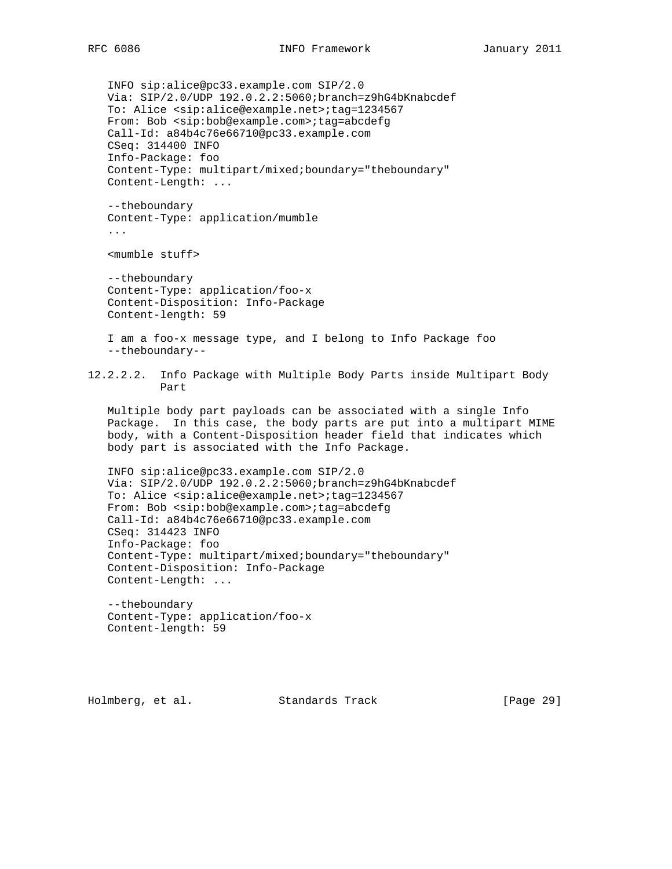INFO sip:alice@pc33.example.com SIP/2.0 Via: SIP/2.0/UDP 192.0.2.2:5060;branch=z9hG4bKnabcdef To: Alice <sip:alice@example.net>;tag=1234567 From: Bob <sip:bob@example.com>;tag=abcdefg Call-Id: a84b4c76e66710@pc33.example.com CSeq: 314400 INFO Info-Package: foo Content-Type: multipart/mixed;boundary="theboundary" Content-Length: ... --theboundary Content-Type: application/mumble ... <mumble stuff> --theboundary Content-Type: application/foo-x Content-Disposition: Info-Package Content-length: 59 I am a foo-x message type, and I belong to Info Package foo --theboundary-- 12.2.2.2. Info Package with Multiple Body Parts inside Multipart Body Part Multiple body part payloads can be associated with a single Info Package. In this case, the body parts are put into a multipart MIME body, with a Content-Disposition header field that indicates which body part is associated with the Info Package. INFO sip:alice@pc33.example.com SIP/2.0 Via: SIP/2.0/UDP 192.0.2.2:5060;branch=z9hG4bKnabcdef To: Alice <sip:alice@example.net>;tag=1234567 From: Bob <sip:bob@example.com>;tag=abcdefg Call-Id: a84b4c76e66710@pc33.example.com CSeq: 314423 INFO Info-Package: foo Content-Type: multipart/mixed;boundary="theboundary" Content-Disposition: Info-Package Content-Length: ... --theboundary Content-Type: application/foo-x Content-length: 59

Holmberg, et al. Standards Track [Page 29]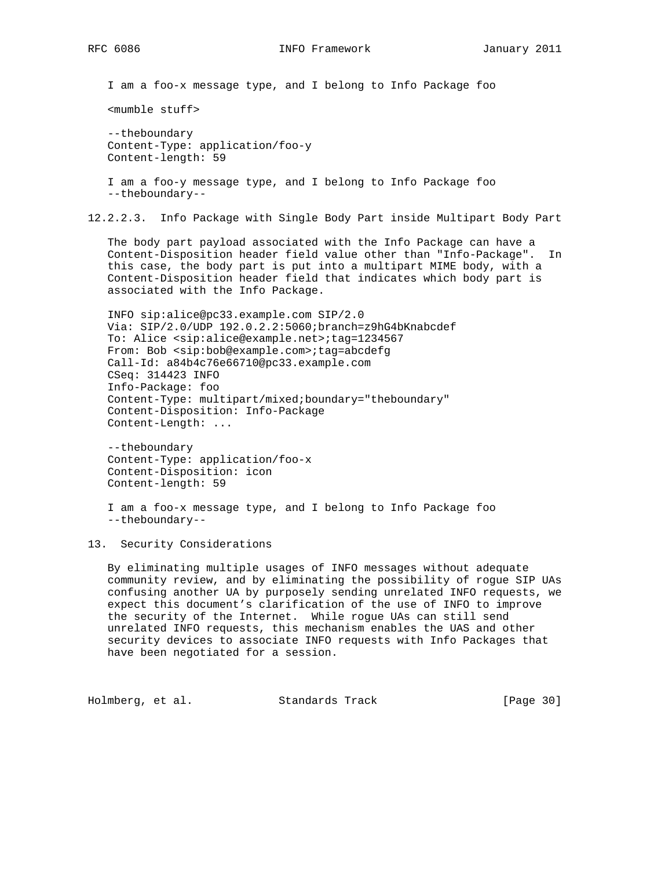I am a foo-x message type, and I belong to Info Package foo

<mumble stuff>

 --theboundary Content-Type: application/foo-y Content-length: 59

 I am a foo-y message type, and I belong to Info Package foo --theboundary--

12.2.2.3. Info Package with Single Body Part inside Multipart Body Part

 The body part payload associated with the Info Package can have a Content-Disposition header field value other than "Info-Package". In this case, the body part is put into a multipart MIME body, with a Content-Disposition header field that indicates which body part is associated with the Info Package.

 INFO sip:alice@pc33.example.com SIP/2.0 Via: SIP/2.0/UDP 192.0.2.2:5060;branch=z9hG4bKnabcdef To: Alice <sip:alice@example.net>;tag=1234567 From: Bob <sip:bob@example.com>;tag=abcdefg Call-Id: a84b4c76e66710@pc33.example.com CSeq: 314423 INFO Info-Package: foo Content-Type: multipart/mixed;boundary="theboundary" Content-Disposition: Info-Package Content-Length: ...

 --theboundary Content-Type: application/foo-x Content-Disposition: icon Content-length: 59

 I am a foo-x message type, and I belong to Info Package foo --theboundary--

13. Security Considerations

 By eliminating multiple usages of INFO messages without adequate community review, and by eliminating the possibility of rogue SIP UAs confusing another UA by purposely sending unrelated INFO requests, we expect this document's clarification of the use of INFO to improve the security of the Internet. While rogue UAs can still send unrelated INFO requests, this mechanism enables the UAS and other security devices to associate INFO requests with Info Packages that have been negotiated for a session.

Holmberg, et al. Standards Track [Page 30]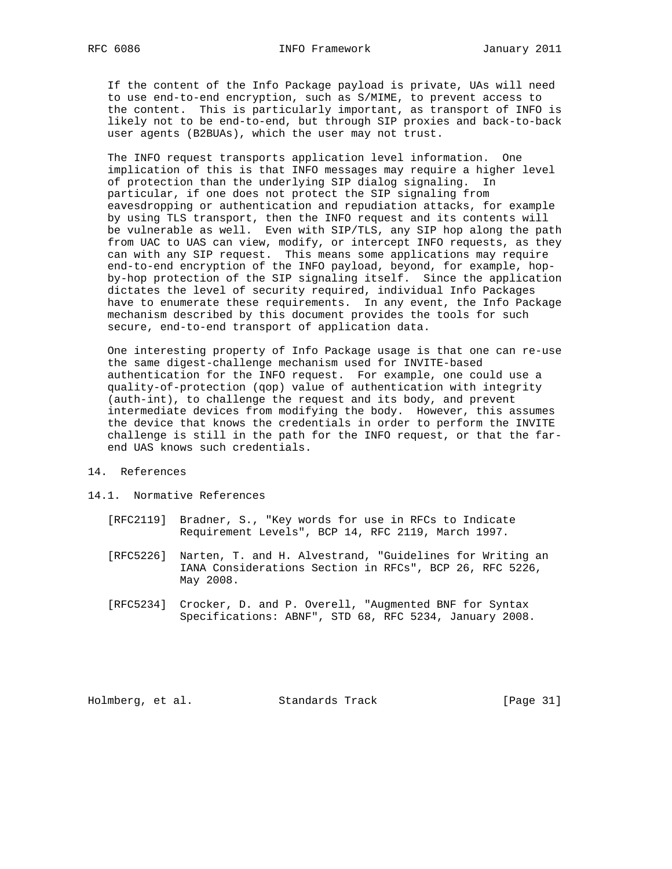If the content of the Info Package payload is private, UAs will need to use end-to-end encryption, such as S/MIME, to prevent access to the content. This is particularly important, as transport of INFO is likely not to be end-to-end, but through SIP proxies and back-to-back user agents (B2BUAs), which the user may not trust.

 The INFO request transports application level information. One implication of this is that INFO messages may require a higher level of protection than the underlying SIP dialog signaling. In particular, if one does not protect the SIP signaling from eavesdropping or authentication and repudiation attacks, for example by using TLS transport, then the INFO request and its contents will be vulnerable as well. Even with SIP/TLS, any SIP hop along the path from UAC to UAS can view, modify, or intercept INFO requests, as they can with any SIP request. This means some applications may require end-to-end encryption of the INFO payload, beyond, for example, hop by-hop protection of the SIP signaling itself. Since the application dictates the level of security required, individual Info Packages have to enumerate these requirements. In any event, the Info Package mechanism described by this document provides the tools for such secure, end-to-end transport of application data.

 One interesting property of Info Package usage is that one can re-use the same digest-challenge mechanism used for INVITE-based authentication for the INFO request. For example, one could use a quality-of-protection (qop) value of authentication with integrity (auth-int), to challenge the request and its body, and prevent intermediate devices from modifying the body. However, this assumes the device that knows the credentials in order to perform the INVITE challenge is still in the path for the INFO request, or that the far end UAS knows such credentials.

- 14. References
- 14.1. Normative References
	- [RFC2119] Bradner, S., "Key words for use in RFCs to Indicate Requirement Levels", BCP 14, RFC 2119, March 1997.
	- [RFC5226] Narten, T. and H. Alvestrand, "Guidelines for Writing an IANA Considerations Section in RFCs", BCP 26, RFC 5226, May 2008.
	- [RFC5234] Crocker, D. and P. Overell, "Augmented BNF for Syntax Specifications: ABNF", STD 68, RFC 5234, January 2008.

Holmberg, et al. Standards Track [Page 31]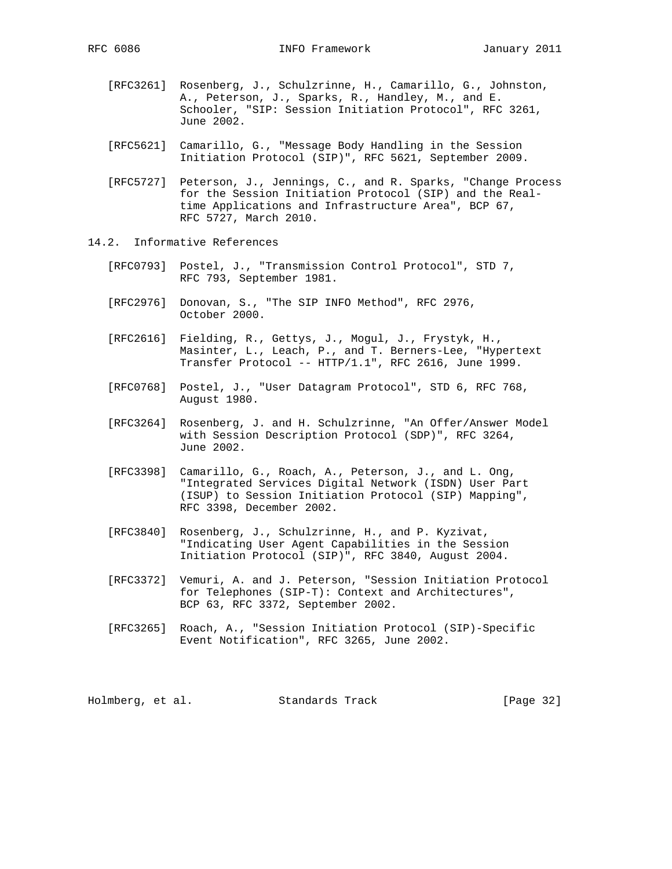- [RFC3261] Rosenberg, J., Schulzrinne, H., Camarillo, G., Johnston, A., Peterson, J., Sparks, R., Handley, M., and E. Schooler, "SIP: Session Initiation Protocol", RFC 3261, June 2002.
- [RFC5621] Camarillo, G., "Message Body Handling in the Session Initiation Protocol (SIP)", RFC 5621, September 2009.
- [RFC5727] Peterson, J., Jennings, C., and R. Sparks, "Change Process for the Session Initiation Protocol (SIP) and the Real time Applications and Infrastructure Area", BCP 67, RFC 5727, March 2010.
- 14.2. Informative References
	- [RFC0793] Postel, J., "Transmission Control Protocol", STD 7, RFC 793, September 1981.
	- [RFC2976] Donovan, S., "The SIP INFO Method", RFC 2976, October 2000.
	- [RFC2616] Fielding, R., Gettys, J., Mogul, J., Frystyk, H., Masinter, L., Leach, P., and T. Berners-Lee, "Hypertext Transfer Protocol -- HTTP/1.1", RFC 2616, June 1999.
	- [RFC0768] Postel, J., "User Datagram Protocol", STD 6, RFC 768, August 1980.
	- [RFC3264] Rosenberg, J. and H. Schulzrinne, "An Offer/Answer Model with Session Description Protocol (SDP)", RFC 3264, June 2002.
	- [RFC3398] Camarillo, G., Roach, A., Peterson, J., and L. Ong, "Integrated Services Digital Network (ISDN) User Part (ISUP) to Session Initiation Protocol (SIP) Mapping", RFC 3398, December 2002.
	- [RFC3840] Rosenberg, J., Schulzrinne, H., and P. Kyzivat, "Indicating User Agent Capabilities in the Session Initiation Protocol (SIP)", RFC 3840, August 2004.
	- [RFC3372] Vemuri, A. and J. Peterson, "Session Initiation Protocol for Telephones (SIP-T): Context and Architectures", BCP 63, RFC 3372, September 2002.
	- [RFC3265] Roach, A., "Session Initiation Protocol (SIP)-Specific Event Notification", RFC 3265, June 2002.

Holmberg, et al. Standards Track [Page 32]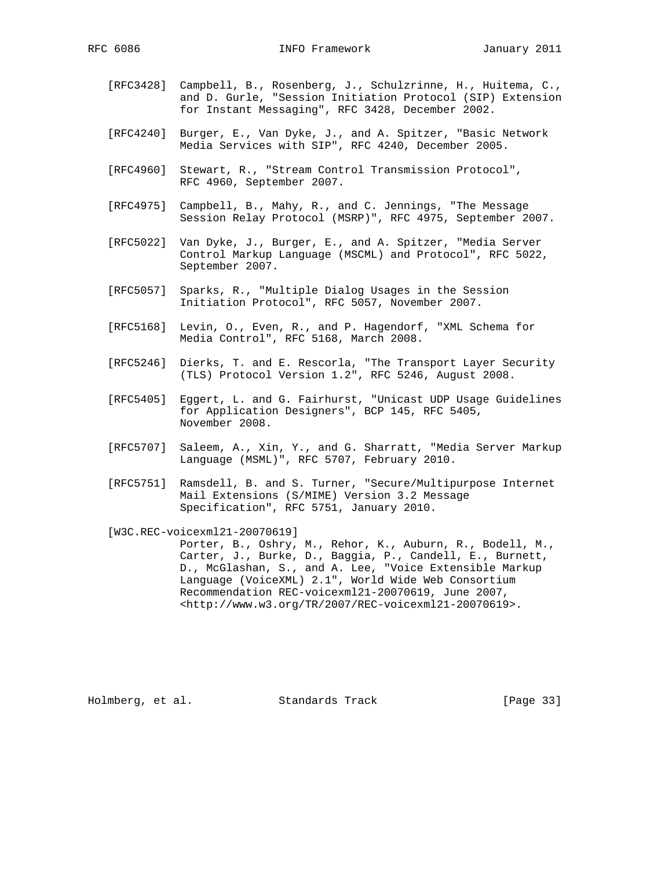- [RFC3428] Campbell, B., Rosenberg, J., Schulzrinne, H., Huitema, C., and D. Gurle, "Session Initiation Protocol (SIP) Extension for Instant Messaging", RFC 3428, December 2002.
- [RFC4240] Burger, E., Van Dyke, J., and A. Spitzer, "Basic Network Media Services with SIP", RFC 4240, December 2005.
- [RFC4960] Stewart, R., "Stream Control Transmission Protocol", RFC 4960, September 2007.
- [RFC4975] Campbell, B., Mahy, R., and C. Jennings, "The Message Session Relay Protocol (MSRP)", RFC 4975, September 2007.
- [RFC5022] Van Dyke, J., Burger, E., and A. Spitzer, "Media Server Control Markup Language (MSCML) and Protocol", RFC 5022, September 2007.
- [RFC5057] Sparks, R., "Multiple Dialog Usages in the Session Initiation Protocol", RFC 5057, November 2007.
- [RFC5168] Levin, O., Even, R., and P. Hagendorf, "XML Schema for Media Control", RFC 5168, March 2008.
- [RFC5246] Dierks, T. and E. Rescorla, "The Transport Layer Security (TLS) Protocol Version 1.2", RFC 5246, August 2008.
- [RFC5405] Eggert, L. and G. Fairhurst, "Unicast UDP Usage Guidelines for Application Designers", BCP 145, RFC 5405, November 2008.
- [RFC5707] Saleem, A., Xin, Y., and G. Sharratt, "Media Server Markup Language (MSML)", RFC 5707, February 2010.
- [RFC5751] Ramsdell, B. and S. Turner, "Secure/Multipurpose Internet Mail Extensions (S/MIME) Version 3.2 Message Specification", RFC 5751, January 2010.

 [W3C.REC-voicexml21-20070619] Porter, B., Oshry, M., Rehor, K., Auburn, R., Bodell, M., Carter, J., Burke, D., Baggia, P., Candell, E., Burnett, D., McGlashan, S., and A. Lee, "Voice Extensible Markup Language (VoiceXML) 2.1", World Wide Web Consortium Recommendation REC-voicexml21-20070619, June 2007, <http://www.w3.org/TR/2007/REC-voicexml21-20070619>.

Holmberg, et al. Standards Track [Page 33]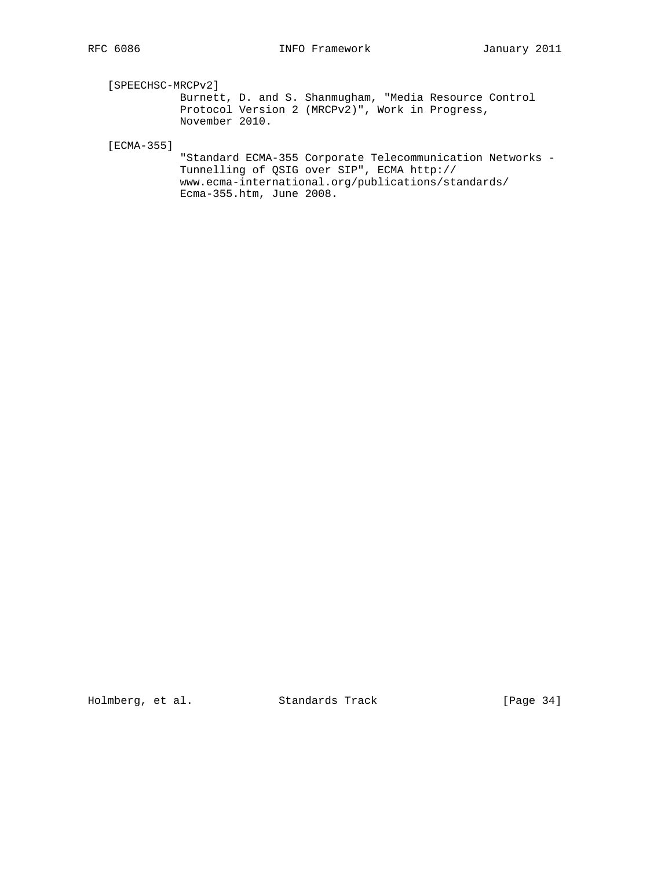[SPEECHSC-MRCPv2]

 Burnett, D. and S. Shanmugham, "Media Resource Control Protocol Version 2 (MRCPv2)", Work in Progress, November 2010.

[ECMA-355]

 "Standard ECMA-355 Corporate Telecommunication Networks - Tunnelling of QSIG over SIP", ECMA http:// www.ecma-international.org/publications/standards/ Ecma-355.htm, June 2008.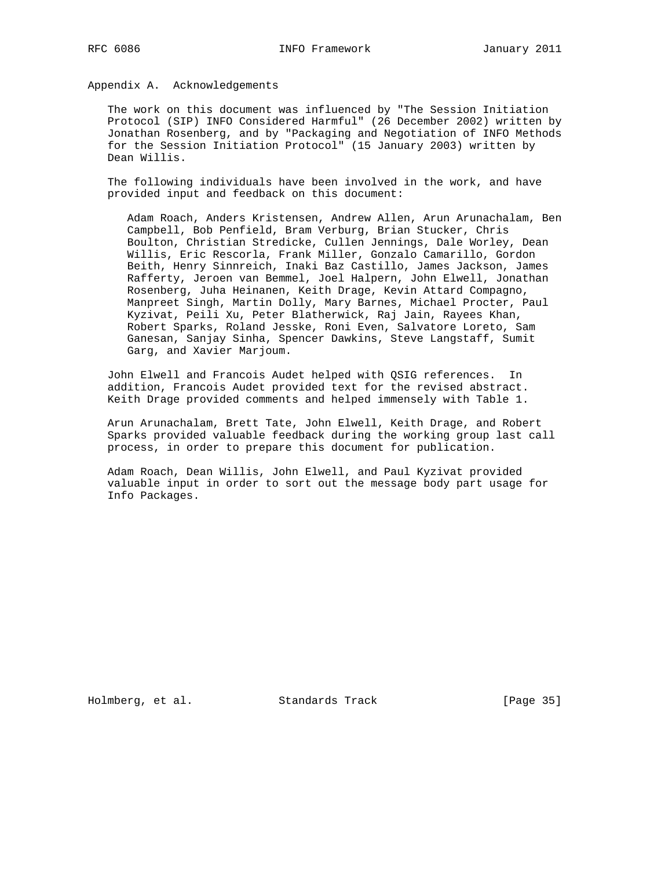Appendix A. Acknowledgements

 The work on this document was influenced by "The Session Initiation Protocol (SIP) INFO Considered Harmful" (26 December 2002) written by Jonathan Rosenberg, and by "Packaging and Negotiation of INFO Methods for the Session Initiation Protocol" (15 January 2003) written by Dean Willis.

 The following individuals have been involved in the work, and have provided input and feedback on this document:

 Adam Roach, Anders Kristensen, Andrew Allen, Arun Arunachalam, Ben Campbell, Bob Penfield, Bram Verburg, Brian Stucker, Chris Boulton, Christian Stredicke, Cullen Jennings, Dale Worley, Dean Willis, Eric Rescorla, Frank Miller, Gonzalo Camarillo, Gordon Beith, Henry Sinnreich, Inaki Baz Castillo, James Jackson, James Rafferty, Jeroen van Bemmel, Joel Halpern, John Elwell, Jonathan Rosenberg, Juha Heinanen, Keith Drage, Kevin Attard Compagno, Manpreet Singh, Martin Dolly, Mary Barnes, Michael Procter, Paul Kyzivat, Peili Xu, Peter Blatherwick, Raj Jain, Rayees Khan, Robert Sparks, Roland Jesske, Roni Even, Salvatore Loreto, Sam Ganesan, Sanjay Sinha, Spencer Dawkins, Steve Langstaff, Sumit Garg, and Xavier Marjoum.

 John Elwell and Francois Audet helped with QSIG references. In addition, Francois Audet provided text for the revised abstract. Keith Drage provided comments and helped immensely with Table 1.

 Arun Arunachalam, Brett Tate, John Elwell, Keith Drage, and Robert Sparks provided valuable feedback during the working group last call process, in order to prepare this document for publication.

 Adam Roach, Dean Willis, John Elwell, and Paul Kyzivat provided valuable input in order to sort out the message body part usage for Info Packages.

Holmberg, et al. Standards Track [Page 35]